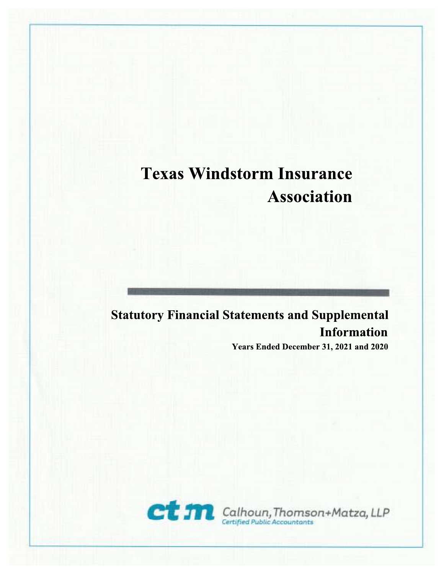### **Statutory Financial Statements and Supplemental Information** Years Ended December 31, 2021 and 2020

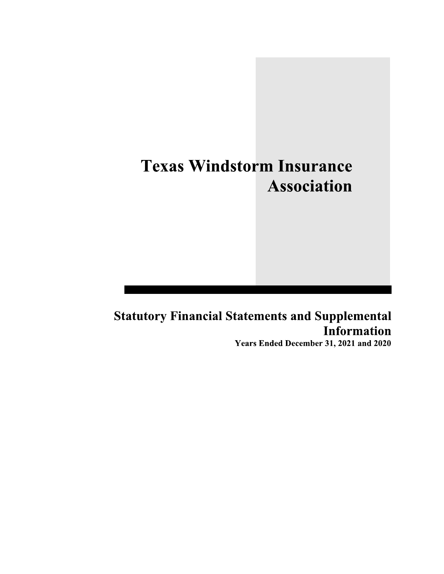## **Statutory Financial Statements and Supplemental Information**

Years Ended December 31, 2021 and 2020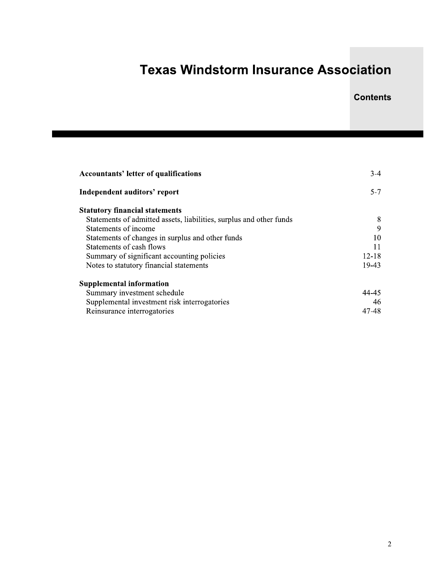### **Contents**

| <b>Accountants' letter of qualifications</b>                        | $3-4$     |
|---------------------------------------------------------------------|-----------|
| Independent auditors' report                                        | $5 - 7$   |
| <b>Statutory financial statements</b>                               |           |
| Statements of admitted assets, liabilities, surplus and other funds | 8         |
| Statements of income                                                | 9         |
| Statements of changes in surplus and other funds                    | 10        |
| Statements of cash flows                                            | 11        |
| Summary of significant accounting policies                          | $12 - 18$ |
| Notes to statutory financial statements                             | 19-43     |
| <b>Supplemental information</b>                                     |           |
| Summary investment schedule                                         | 44-45     |
| Supplemental investment risk interrogatories                        | 46        |
| Reinsurance interrogatories                                         | 47-48     |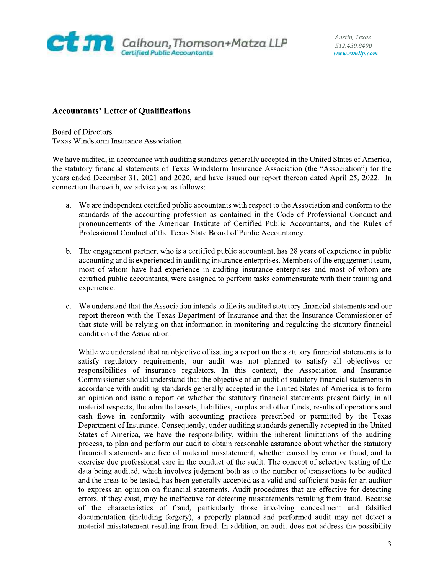

Austin, Texas 512.439.8400 www.ctmllp.com

**Calhoun, Thomson+Matza LLP**<br> **Example 2018**<br> **Accountants' Letter of Qualifications**<br> **Example 2020**<br> **Example 2020**<br> **Example 2020**<br> **Example 2020**<br> **Example 2020**<br> **Example 2020**<br> **Example 2020**<br> **Example 2020**<br> **Exampl** 

- standards of the accounting profession as contained in the Code of Professional Conduct and pronouncements of the American Institute of Certified Public Accountants, and the Rules of Professional Conduct of the Texas State Board of Public Accountancy.
- b. The engagement partner, who is a certified public accountant, has 28 years of experience in public accounting and is experienced in auditing insurance enterprises. Members of the engagement team, most of whom have had experience in auditing insurance enterprises and most of whom are certified public accountants, were assigned to perform tasks commensurate with their training and experience.
- c. We understand that the Association intends to file its audited statutory financial statements and our report thereon with the Texas Department of Insurance and that the Insurance Commissioner of that state will be relying on that information in monitoring and regulating the statutory financial condition of the Association.

While we understand that an objective of issuing a report on the statutory financial statements is to satisfy regulatory requirements, our audit was not planned to satisfy all objectives or responsibilities of insurance regulators. In this context, the Association and Insurance Commissioner should understand that the objective of an audit of statutory financial statements in accordance with auditing standards generally accepted in the United States of America is to form an opinion and issue a report on whether the statutory financial statements present fairly, in all material respects, the admitted assets, liabilities, surplus and other funds, results of operations and cash flows in conformity with accounting practices prescribed or permitted by the Texas Department of Insurance. Consequently, under auditing standards generally accepted in the United States of America, we have the responsibility, within the inherent limitations of the auditing process, to plan and perform our audit to obtain reasonable assurance about whether the statutory financial statements are free of material misstatement, whether caused by error or fraud, and to exercise due professional care in the conduct of the audit. The concept of selective testing of the data being audited, which involves judgment both as to the number of transactions to be audited and the areas to be tested, has been generally accepted as a valid and sufficient basis for an auditor to express an opinion on financial statements. Audit procedures that are effective for detecting errors, if they exist, may be ineffective for detecting misstatements resulting from fraud. Because of the characteristics of fraud, particularly those involving concealment and falsified documentation (including forgery), a properly planned and performed audit may not detect a material misstatement resulting from fraud. In addition, an audit does not address the possibility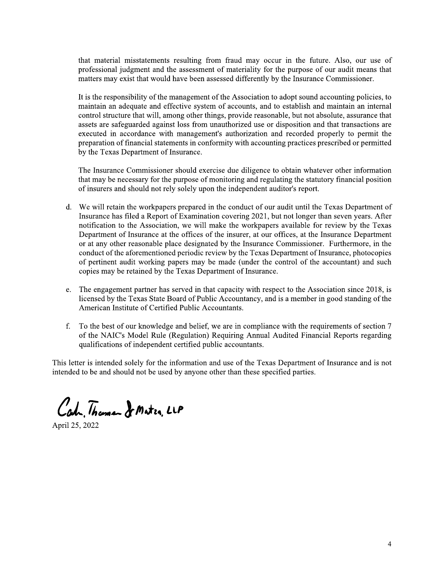that material misstatements resulting from fraud may occur in the future. Also, our use of professional judgment and the assessment of materiality for the purpose of our audit means that matters may exist that would have been assessed differently by the Insurance Commissioner.

It is the responsibility of the management of the Association to adopt sound accounting policies, to maintain an adequate and effective system of accounts, and to establish and maintain an internal control structure that will, among other things, provide reasonable, but not absolute, assurance that assets are safeguarded against loss from unauthorized use or disposition and that transactions are executed in accordance with management's authorization and recorded properly to permit the preparation of financial statements in conformity with accounting practices prescribed or permitted by the Texas Department of Insurance.

The Insurance Commissioner should exercise due diligence to obtain whatever other information that may be necessary for the purpose of monitoring and regulating the statutory financial position of insurers and should not rely solely upon the independent auditor's report.

- d. We will retain the workpapers prepared in the conduct of our audit until the Texas Department of Insurance has filed a Report of Examination covering 2021, but not longer than seven years. After notification to the Association, we will make the workpapers available for review by the Texas Department of Insurance at the offices of the insurer, at our offices, at the Insurance Department or at any other reasonable place designated by the Insurance Commissioner. Furthermore, in the conduct of the aforementioned periodic review by the Texas Department of Insurance, photocopies of pertinent audit working papers may be made (under the control of the accountant) and such copies may be retained by the Texas Department of Insurance.
- The engagement partner has served in that capacity with respect to the Association since 2018, is e. licensed by the Texas State Board of Public Accountancy, and is a member in good standing of the American Institute of Certified Public Accountants.
- f. To the best of our knowledge and belief, we are in compliance with the requirements of section 7 of the NAIC's Model Rule (Regulation) Requiring Annual Audited Financial Reports regarding qualifications of independent certified public accountants.

This letter is intended solely for the information and use of the Texas Department of Insurance and is not intended to be and should not be used by anyone other than these specified parties.

Cah Thomas Je Mater LLP

April 25, 2022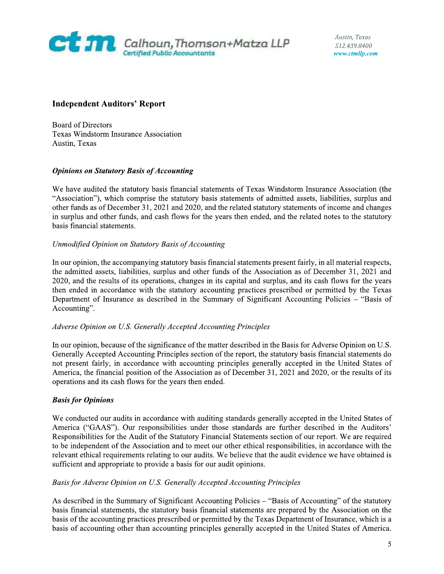

Austin, Texas 512.439.8400 www.ctmllp.com

"Association"), which comprise the statutory basis statements of admitted assets, liabilities, surplus and other funds as of December 31, 2021 and 2020, and the related statutory statements of income and changes in surplus and other funds, and cash flows for the years then ended, and the related notes to the statutory basis financial statements.

#### Unmodified Opinion on Statutory Basis of Accounting

In our opinion, the accompanying statutory basis financial statements present fairly, in all material respects, the admitted assets, liabilities, surplus and other funds of the Association as of December 31, 2021 and 2020, and the results of its operations, changes in its capital and surplus, and its cash flows for the years then ended in accordance with the statutory accounting practices prescribed or permitted by the Texas Department of Insurance as described in the Summary of Significant Accounting Policies - "Basis of Accounting".

#### Adverse Opinion on U.S. Generally Accepted Accounting Principles

In our opinion, because of the significance of the matter described in the Basis for Adverse Opinion on U.S. Generally Accepted Accounting Principles section of the report, the statutory basis financial statements do not present fairly, in accordance with accounting principles generally accepted in the United States of America, the financial position of the Association as of December 31, 2021 and 2020, or the results of its operations and its cash flows for the years then ended.

#### **Basis for Opinions**

We conducted our audits in accordance with auditing standards generally accepted in the United States of America ("GAAS"). Our responsibilities under those standards are further described in the Auditors' Responsibilities for the Audit of the Statutory Financial Statements section of our report. We are required to be independent of the Association and to meet our other ethical responsibilities, in accordance with the relevant ethical requirements relating to our audits. We believe that the audit evidence we have obtained is sufficient and appropriate to provide a basis for our audit opinions.

#### Basis for Adverse Opinion on U.S. Generally Accepted Accounting Principles

As described in the Summary of Significant Accounting Policies - "Basis of Accounting" of the statutory basis financial statements, the statutory basis financial statements are prepared by the Association on the basis of the accounting practices prescribed or permitted by the Texas Department of Insurance, which is a basis of accounting other than accounting principles generally accepted in the United States of America.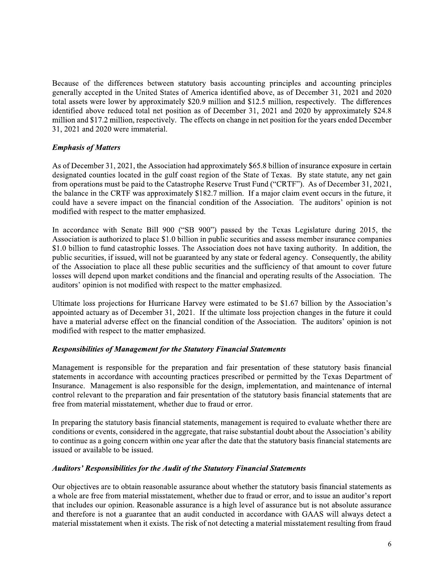Because of the differences between statutory basis accounting principles and accounting principles generally accepted in the United States of America identified above, as of December 31, 2021 and 2020 total assets were lower by approximately \$20.9 million and \$12.5 million, respectively. The differences identified above reduced total net position as of December 31, 2021 and 2020 by approximately \$24.8 million and \$17.2 million, respectively. The effects on change in net position for the years ended December 31, 2021 and 2020 were immaterial.

### **Emphasis of Matters**

As of December 31, 2021, the Association had approximately \$65.8 billion of insurance exposure in certain designated counties located in the gulf coast region of the State of Texas. By state statute, any net gain from operations must be paid to the Catastrophe Reserve Trust Fund ("CRTF"). As of December 31, 2021, the balance in the CRTF was approximately \$182.7 million. If a major claim event occurs in the future, it could have a severe impact on the financial condition of the Association. The auditors' opinion is not modified with respect to the matter emphasized.

In accordance with Senate Bill 900 ("SB 900") passed by the Texas Legislature during 2015, the Association is authorized to place \$1.0 billion in public securities and assess member insurance companies \$1.0 billion to fund catastrophic losses. The Association does not have taxing authority. In addition, the public securities, if issued, will not be guaranteed by any state or federal agency. Consequently, the ability of the Association to place all these public securities and the sufficiency of that amount to cover future losses will depend upon market conditions and the financial and operating results of the Association. The auditors' opinion is not modified with respect to the matter emphasized.

Ultimate loss projections for Hurricane Harvey were estimated to be \$1.67 billion by the Association's appointed actuary as of December 31, 2021. If the ultimate loss projection changes in the future it could have a material adverse effect on the financial condition of the Association. The auditors' opinion is not modified with respect to the matter emphasized.

#### **Responsibilities of Management for the Statutory Financial Statements**

Management is responsible for the preparation and fair presentation of these statutory basis financial statements in accordance with accounting practices prescribed or permitted by the Texas Department of Insurance. Management is also responsible for the design, implementation, and maintenance of internal control relevant to the preparation and fair presentation of the statutory basis financial statements that are free from material misstatement, whether due to fraud or error.

In preparing the statutory basis financial statements, management is required to evaluate whether there are conditions or events, considered in the aggregate, that raise substantial doubt about the Association's ability to continue as a going concern within one year after the date that the statutory basis financial statements are issued or available to be issued.

#### **Auditors' Responsibilities for the Audit of the Statutory Financial Statements**

Our objectives are to obtain reasonable assurance about whether the statutory basis financial statements as a whole are free from material misstatement, whether due to fraud or error, and to issue an auditor's report that includes our opinion. Reasonable assurance is a high level of assurance but is not absolute assurance and therefore is not a guarantee that an audit conducted in accordance with GAAS will always detect a material misstatement when it exists. The risk of not detecting a material misstatement resulting from fraud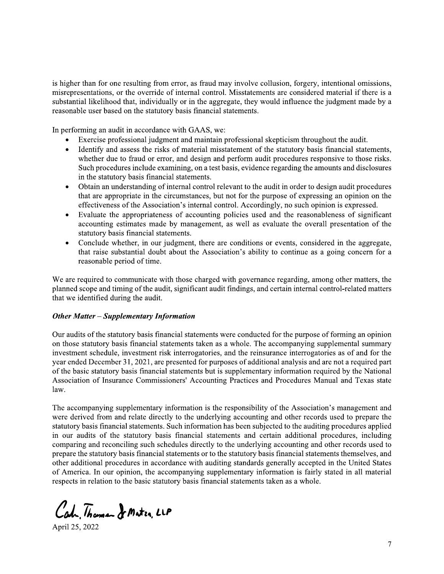is higher than for one resulting from error, as fraud may involve collusion, forgery, intentional omissions, misrepresentations, or the override of internal control. Misstatements are considered material if there is a substantial likelihood that, individually or in the aggregate, they would influence the judgment made by a reasonable user based on the statutory basis financial statements.

In performing an audit in accordance with GAAS, we:

- Exercise professional judgment and maintain professional skepticism throughout the audit.
- Identify and assess the risks of material misstatement of the statutory basis financial statements,  $\bullet$ whether due to fraud or error, and design and perform audit procedures responsive to those risks. Such procedures include examining, on a test basis, evidence regarding the amounts and disclosures in the statutory basis financial statements.
- Obtain an understanding of internal control relevant to the audit in order to design audit procedures that are appropriate in the circumstances, but not for the purpose of expressing an opinion on the effectiveness of the Association's internal control. Accordingly, no such opinion is expressed.
- Evaluate the appropriateness of accounting policies used and the reasonableness of significant  $\bullet$ accounting estimates made by management, as well as evaluate the overall presentation of the statutory basis financial statements.
- Conclude whether, in our judgment, there are conditions or events, considered in the aggregate, that raise substantial doubt about the Association's ability to continue as a going concern for a reasonable period of time.

We are required to communicate with those charged with governance regarding, among other matters, the planned scope and timing of the audit, significant audit findings, and certain internal control-related matters that we identified during the audit.

#### **Other Matter – Supplementary Information**

Our audits of the statutory basis financial statements were conducted for the purpose of forming an opinion on those statutory basis financial statements taken as a whole. The accompanying supplemental summary investment schedule, investment risk interrogatories, and the reinsurance interrogatories as of and for the year ended December 31, 2021, are presented for purposes of additional analysis and are not a required part of the basic statutory basis financial statements but is supplementary information required by the National Association of Insurance Commissioners' Accounting Practices and Procedures Manual and Texas state  $law.$ 

The accompanying supplementary information is the responsibility of the Association's management and were derived from and relate directly to the underlying accounting and other records used to prepare the statutory basis financial statements. Such information has been subjected to the auditing procedures applied in our audits of the statutory basis financial statements and certain additional procedures, including comparing and reconciling such schedules directly to the underlying accounting and other records used to prepare the statutory basis financial statements or to the statutory basis financial statements themselves, and other additional procedures in accordance with auditing standards generally accepted in the United States of America. In our opinion, the accompanying supplementary information is fairly stated in all material respects in relation to the basic statutory basis financial statements taken as a whole.

Cah, Thoman & Mater, LLP

April 25, 2022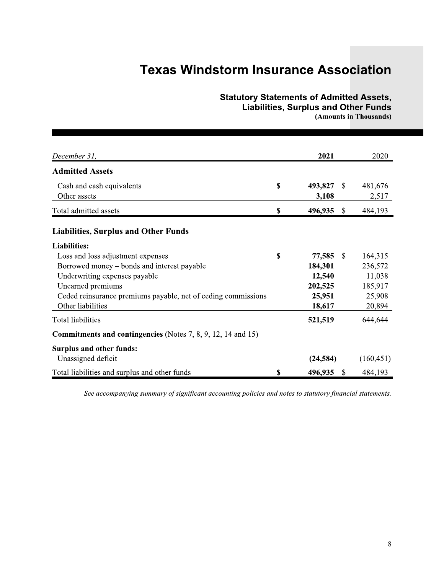### **Statutory Statements of Admitted Assets,**

**Liabilities, Surplus and Other Funds** 

(Amounts in Thousands)

| December 31,                                                                                                                                                                                                                                        | 2021                                                             |               | 2020                                                        |
|-----------------------------------------------------------------------------------------------------------------------------------------------------------------------------------------------------------------------------------------------------|------------------------------------------------------------------|---------------|-------------------------------------------------------------|
| <b>Admitted Assets</b>                                                                                                                                                                                                                              |                                                                  |               |                                                             |
| Cash and cash equivalents<br>Other assets                                                                                                                                                                                                           | \$<br>493,827<br>3,108                                           | \$            | 481,676<br>2,517                                            |
| Total admitted assets                                                                                                                                                                                                                               | \$<br>496,935                                                    | $\mathcal{S}$ | 484,193                                                     |
| <b>Liabilities, Surplus and Other Funds</b>                                                                                                                                                                                                         |                                                                  |               |                                                             |
| <b>Liabilities:</b><br>Loss and loss adjustment expenses<br>Borrowed money – bonds and interest payable<br>Underwriting expenses payable<br>Unearned premiums<br>Ceded reinsurance premiums payable, net of ceding commissions<br>Other liabilities | \$<br>77,585<br>184,301<br>12,540<br>202,525<br>25,951<br>18,617 | <sup>\$</sup> | 164,315<br>236,572<br>11,038<br>185,917<br>25,908<br>20,894 |
| Total liabilities                                                                                                                                                                                                                                   | 521,519                                                          |               | 644,644                                                     |
| <b>Commitments and contingencies</b> (Notes 7, 8, 9, 12, 14 and 15)                                                                                                                                                                                 |                                                                  |               |                                                             |
| <b>Surplus and other funds:</b><br>Unassigned deficit                                                                                                                                                                                               | (24, 584)                                                        |               | (160, 451)                                                  |
| Total liabilities and surplus and other funds                                                                                                                                                                                                       | \$<br>496,935                                                    | $\mathcal{S}$ | 484,193                                                     |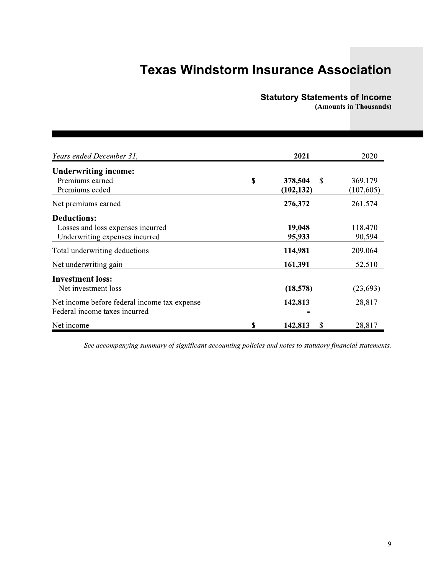### **Statutory Statements of Income**

(Amounts in Thousands)

| Years ended December 31,                     | 2021                | 2020       |
|----------------------------------------------|---------------------|------------|
| <b>Underwriting income:</b>                  |                     |            |
| Premiums earned                              | \$<br>378,504<br>-S | 369,179    |
| Premiums ceded                               | (102, 132)          | (107, 605) |
| Net premiums earned                          | 276,372             | 261,574    |
| <b>Deductions:</b>                           |                     |            |
| Losses and loss expenses incurred            | 19,048              | 118,470    |
| Underwriting expenses incurred               | 95,933              | 90,594     |
| Total underwriting deductions                | 114,981             | 209,064    |
| Net underwriting gain                        | 161,391             | 52,510     |
| <b>Investment loss:</b>                      |                     |            |
| Net investment loss                          | (18, 578)           | (23, 693)  |
| Net income before federal income tax expense | 142,813             | 28,817     |
| Federal income taxes incurred                |                     |            |
| Net income                                   | \$<br>142,813<br>\$ | 28,817     |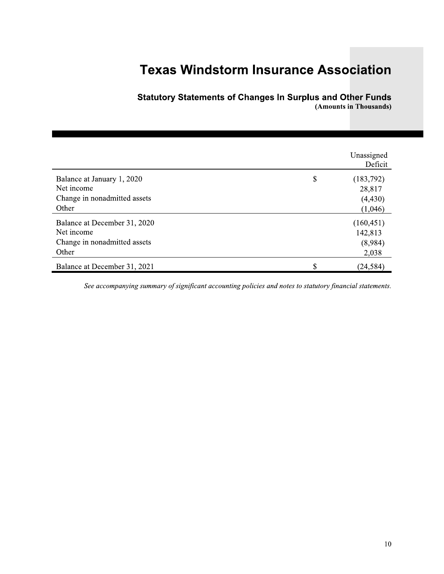| <b>Texas Windstorm Insurance Association</b>                                        |                                                                   |                                            |  |  |  |  |
|-------------------------------------------------------------------------------------|-------------------------------------------------------------------|--------------------------------------------|--|--|--|--|
|                                                                                     | <b>Statutory Statements of Changes In Surplus and Other Funds</b> | (Amounts in Thousands)                     |  |  |  |  |
|                                                                                     |                                                                   | Unassigned<br>Deficit                      |  |  |  |  |
| Balance at January 1, 2020<br>Net income<br>Change in nonadmitted assets<br>Other   | \$                                                                | (183,792)<br>28,817<br>(4, 430)<br>(1,046) |  |  |  |  |
| Balance at December 31, 2020<br>Net income<br>Change in nonadmitted assets<br>Other |                                                                   | (160, 451)<br>142,813<br>(8,984)<br>2,038  |  |  |  |  |
| Balance at December 31, 2021                                                        | \$                                                                | (24, 584)                                  |  |  |  |  |

S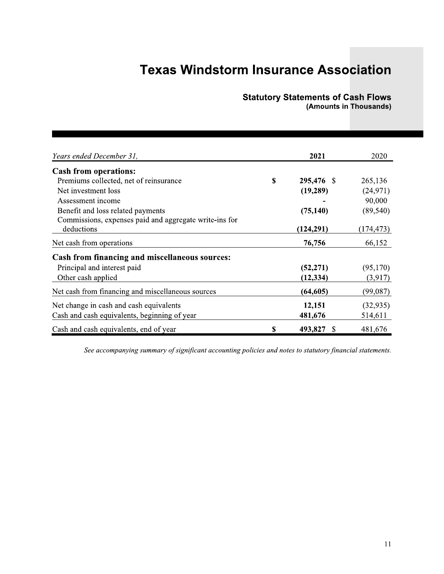# **Statutory Statements of Cash Flows**<br>(Amounts in Thousands)

| Years ended December 31,                               | 2021                | 2020       |
|--------------------------------------------------------|---------------------|------------|
| <b>Cash from operations:</b>                           |                     |            |
| Premiums collected, net of reinsurance                 | \$<br>295,476 \$    | 265,136    |
| Net investment loss                                    | (19, 289)           | (24, 971)  |
| Assessment income                                      |                     | 90,000     |
| Benefit and loss related payments                      | (75, 140)           | (89, 540)  |
| Commissions, expenses paid and aggregate write-ins for |                     |            |
| deductions                                             | (124, 291)          | (174, 473) |
| Net cash from operations                               | 76,756              | 66,152     |
| <b>Cash from financing and miscellaneous sources:</b>  |                     |            |
| Principal and interest paid                            | (52, 271)           | (95,170)   |
| Other cash applied                                     | (12, 334)           | (3,917)    |
| Net cash from financing and miscellaneous sources      | (64, 605)           | (99,087)   |
| Net change in cash and cash equivalents                | 12,151              | (32, 935)  |
| Cash and cash equivalents, beginning of year           | 481,676             | 514,611    |
| Cash and cash equivalents, end of year                 | \$<br>493,827<br>-S | 481,676    |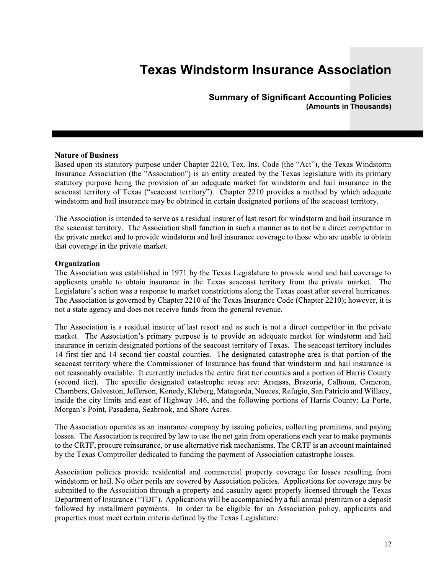**Summary of Significant Accounting Policies** (Amounts in Thousands)

#### **Nature of Business**

Based upon its statutory purpose under Chapter 2210, Tex. Ins. Code (the "Act"), the Texas Windstorm Insurance Association (the "Association") is an entity created by the Texas legislature with its primary statutory purpose being the provision of an adequate market for windstorm and hail insurance in the seacoast territory of Texas ("seacoast territory"). Chapter 2210 provides a method by which adequate windstorm and hail insurance may be obtained in certain designated portions of the seacoast territory.

The Association is intended to serve as a residual insurer of last resort for windstorm and hail insurance in the seacoast territory. The Association shall function in such a manner as to not be a direct competitor in the private market and to provide windstorm and hail insurance coverage to those who are unable to obtain that coverage in the private market.

#### Organization

The Association was established in 1971 by the Texas Legislature to provide wind and hail coverage to applicants unable to obtain insurance in the Texas seacoast territory from the private market. The Legislature's action was a response to market constrictions along the Texas coast after several hurricanes. The Association is governed by Chapter 2210 of the Texas Insurance Code (Chapter 2210); however, it is not a state agency and does not receive funds from the general revenue.

The Association is a residual insurer of last resort and as such is not a direct competitor in the private market. The Association's primary purpose is to provide an adequate market for windstorm and hail insurance in certain designated portions of the seacoast territory of Texas. The seacoast territory includes 14 first tier and 14 second tier coastal counties. The designated catastrophe area is that portion of the seacoast territory where the Commissioner of Insurance has found that windstorm and hail insurance is not reasonably available. It currently includes the entire first tier counties and a portion of Harris County (second tier). The specific designated catastrophe areas are: Aransas, Brazoria, Calhoun, Cameron, Chambers, Galveston, Jefferson, Kenedy, Kleberg, Matagorda, Nueces, Refugio, San Patricio and Willacy, inside the city limits and east of Highway 146, and the following portions of Harris County: La Porte, Morgan's Point, Pasadena, Seabrook, and Shore Acres.

The Association operates as an insurance company by issuing policies, collecting premiums, and paying losses. The Association is required by law to use the net gain from operations each year to make payments to the CRTF, procure reinsurance, or use alternative risk mechanisms. The CRTF is an account maintained by the Texas Comptroller dedicated to funding the payment of Association catastrophe losses.

Association policies provide residential and commercial property coverage for losses resulting from windstorm or hail. No other perils are covered by Association policies. Applications for coverage may be submitted to the Association through a property and casualty agent properly licensed through the Texas Department of Insurance ("TDI"). Applications will be accompanied by a full annual premium or a deposit followed by installment payments. In order to be eligible for an Association policy, applicants and properties must meet certain criteria defined by the Texas Legislature: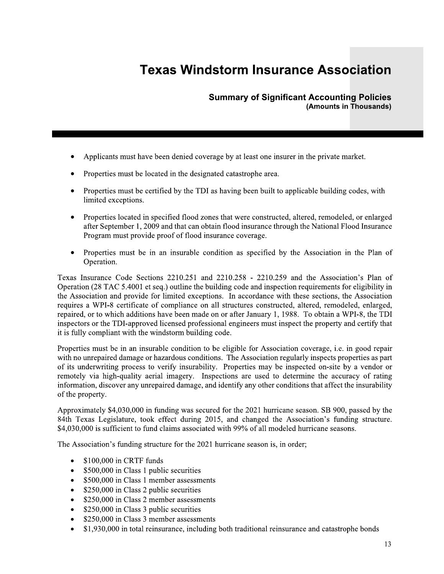**Summary of Significant Accounting Policies** (Amounts in Thousands)

- Applicants must have been denied coverage by at least one insurer in the private market.
- Properties must be located in the designated catastrophe area.
- Properties must be certified by the TDI as having been built to applicable building codes, with limited exceptions.
- Properties located in specified flood zones that were constructed, altered, remodeled, or enlarged after September 1, 2009 and that can obtain flood insurance through the National Flood Insurance Program must provide proof of flood insurance coverage.
- Properties must be in an insurable condition as specified by the Association in the Plan of Operation.

Texas Insurance Code Sections 2210.251 and 2210.258 - 2210.259 and the Association's Plan of Operation (28 TAC 5.4001 et seq.) outline the building code and inspection requirements for eligibility in the Association and provide for limited exceptions. In accordance with these sections, the Association requires a WPI-8 certificate of compliance on all structures constructed, altered, remodeled, enlarged, repaired, or to which additions have been made on or after January 1, 1988. To obtain a WPI-8, the TDI inspectors or the TDI-approved licensed professional engineers must inspect the property and certify that it is fully compliant with the windstorm building code.

Properties must be in an insurable condition to be eligible for Association coverage, i.e. in good repair with no unrepaired damage or hazardous conditions. The Association regularly inspects properties as part of its underwriting process to verify insurability. Properties may be inspected on-site by a vendor or remotely via high-quality aerial imagery. Inspections are used to determine the accuracy of rating information, discover any unrepaired damage, and identify any other conditions that affect the insurability of the property.

Approximately \$4,030,000 in funding was secured for the 2021 hurricane season. SB 900, passed by the 84th Texas Legislature, took effect during 2015, and changed the Association's funding structure. \$4,030,000 is sufficient to fund claims associated with 99% of all modeled hurricane seasons.

The Association's funding structure for the 2021 hurricane season is, in order;

- \$100,000 in CRTF funds  $\bullet$
- $\bullet$ \$500,000 in Class 1 public securities
- \$500,000 in Class 1 member assessments  $\bullet$
- \$250,000 in Class 2 public securities  $\bullet$
- \$250,000 in Class 2 member assessments  $\bullet$
- \$250,000 in Class 3 public securities  $\bullet$
- \$250,000 in Class 3 member assessments  $\bullet$
- \$1,930,000 in total reinsurance, including both traditional reinsurance and catastrophe bonds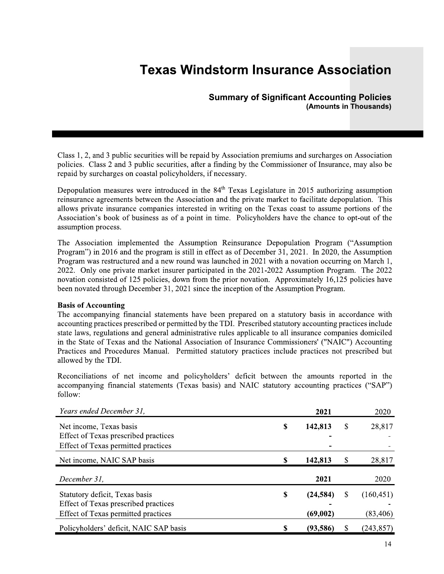#### **Summary of Significant Accounting Policies** (Amounts in Thousands)

Class 1, 2, and 3 public securities will be repaid by Association premiums and surcharges on Association policies. Class 2 and 3 public securities, after a finding by the Commissioner of Insurance, may also be repaid by surcharges on coastal policyholders, if necessary.

Depopulation measures were introduced in the 84<sup>th</sup> Texas Legislature in 2015 authorizing assumption reinsurance agreements between the Association and the private market to facilitate depopulation. This allows private insurance companies interested in writing on the Texas coast to assume portions of the Association's book of business as of a point in time. Policyholders have the chance to opt-out of the assumption process.

The Association implemented the Assumption Reinsurance Depopulation Program ("Assumption") Program") in 2016 and the program is still in effect as of December 31, 2021. In 2020, the Assumption Program was restructured and a new round was launched in 2021 with a novation occurring on March 1, 2022. Only one private market insurer participated in the 2021-2022 Assumption Program. The 2022 novation consisted of 125 policies, down from the prior novation. Approximately 16,125 policies have been novated through December 31, 2021 since the inception of the Assumption Program.

#### **Basis of Accounting**

The accompanying financial statements have been prepared on a statutory basis in accordance with accounting practices prescribed or permitted by the TDI. Prescribed statutory accounting practices include state laws, regulations and general administrative rules applicable to all insurance companies domiciled in the State of Texas and the National Association of Insurance Commissioners' ("NAIC") Accounting Practices and Procedures Manual. Permitted statutory practices include practices not prescribed but allowed by the TDI.

Reconciliations of net income and policyholders' deficit between the amounts reported in the accompanying financial statements (Texas basis) and NAIC statutory accounting practices ("SAP") follow:

| Years ended December 31,             |    | 2021      | 2020             |
|--------------------------------------|----|-----------|------------------|
| Net income, Texas basis              | S  | 142,813   | \$<br>28,817     |
| Effect of Texas prescribed practices |    |           |                  |
| Effect of Texas permitted practices  |    |           |                  |
| Net income, NAIC SAP basis           | -S | 142,813   | \$<br>28,817     |
| December 31,                         |    | 2021      | 2020             |
| Statutory deficit, Texas basis       | \$ | (24, 584) | \$<br>(160, 451) |
| Effect of Texas prescribed practices |    |           |                  |
| Effect of Texas permitted practices  |    | (69,002)  | (83, 406)        |
|                                      |    |           |                  |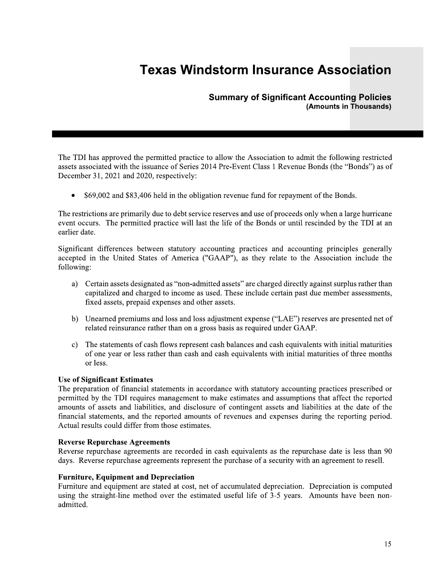#### **Summary of Significant Accounting Policies** (Amounts in Thousands)

The TDI has approved the permitted practice to allow the Association to admit the following restricted assets associated with the issuance of Series 2014 Pre-Event Class 1 Revenue Bonds (the "Bonds") as of December 31, 2021 and 2020, respectively:

\$69,002 and \$83,406 held in the obligation revenue fund for repayment of the Bonds.

The restrictions are primarily due to debt service reserves and use of proceeds only when a large hurricane event occurs. The permitted practice will last the life of the Bonds or until rescinded by the TDI at an earlier date.

Significant differences between statutory accounting practices and accounting principles generally accepted in the United States of America ("GAAP"), as they relate to the Association include the following:

- a) Certain assets designated as "non-admitted assets" are charged directly against surplus rather than capitalized and charged to income as used. These include certain past due member assessments, fixed assets, prepaid expenses and other assets.
- b) Unearned premiums and loss and loss adjustment expense ("LAE") reserves are presented net of related reinsurance rather than on a gross basis as required under GAAP.
- The statements of cash flows represent cash balances and cash equivalents with initial maturities  $\mathbf{c}$ of one year or less rather than cash and cash equivalents with initial maturities of three months or less.

#### **Use of Significant Estimates**

The preparation of financial statements in accordance with statutory accounting practices prescribed or permitted by the TDI requires management to make estimates and assumptions that affect the reported amounts of assets and liabilities, and disclosure of contingent assets and liabilities at the date of the financial statements, and the reported amounts of revenues and expenses during the reporting period. Actual results could differ from those estimates.

#### **Reverse Repurchase Agreements**

Reverse repurchase agreements are recorded in cash equivalents as the repurchase date is less than 90 days. Reverse repurchase agreements represent the purchase of a security with an agreement to resell.

#### **Furniture, Equipment and Depreciation**

Furniture and equipment are stated at cost, net of accumulated depreciation. Depreciation is computed using the straight-line method over the estimated useful life of 3-5 years. Amounts have been nonadmitted.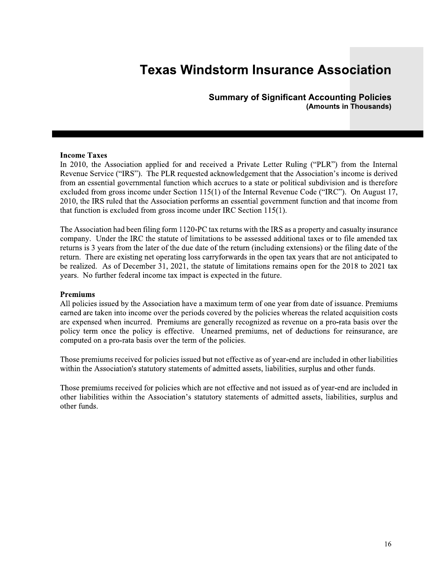**Summary of Significant Accounting Policies** (Amounts in Thousands)

#### **Income Taxes**

In 2010, the Association applied for and received a Private Letter Ruling ("PLR") from the Internal Revenue Service ("IRS"). The PLR requested acknowledgement that the Association's income is derived from an essential governmental function which accrues to a state or political subdivision and is therefore excluded from gross income under Section 115(1) of the Internal Revenue Code ("IRC"). On August 17, 2010, the IRS ruled that the Association performs an essential government function and that income from that function is excluded from gross income under IRC Section  $115(1)$ .

The Association had been filing form 1120-PC tax returns with the IRS as a property and casualty insurance company. Under the IRC the statute of limitations to be assessed additional taxes or to file amended tax returns is 3 years from the later of the due date of the return (including extensions) or the filing date of the return. There are existing net operating loss carry forwards in the open tax years that are not anticipated to be realized. As of December 31, 2021, the statute of limitations remains open for the 2018 to 2021 tax years. No further federal income tax impact is expected in the future.

#### **Premiums**

All policies issued by the Association have a maximum term of one year from date of issuance. Premiums earned are taken into income over the periods covered by the policies whereas the related acquisition costs are expensed when incurred. Premiums are generally recognized as revenue on a pro-rata basis over the policy term once the policy is effective. Unearned premiums, net of deductions for reinsurance, are computed on a pro-rata basis over the term of the policies.

Those premiums received for policies issued but not effective as of year-end are included in other liabilities within the Association's statutory statements of admitted assets, liabilities, surplus and other funds.

Those premiums received for policies which are not effective and not issued as of year-end are included in other liabilities within the Association's statutory statements of admitted assets, liabilities, surplus and other funds.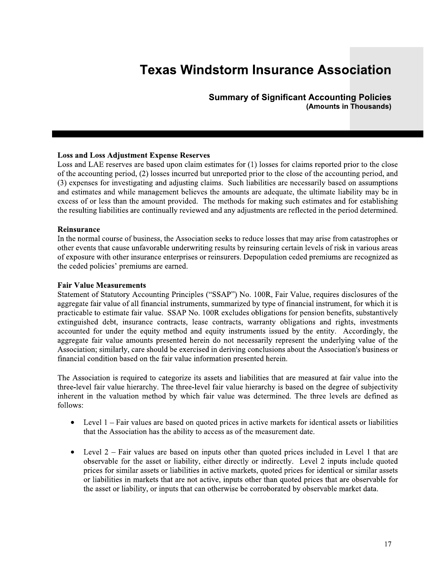### Summary of Significant Accounting Policies (Amounts in Thousands)

**Su**<br> **Solution**<br> **Solution**<br> **Loss and LAE** reserves are based upon claim estin<br>
of the accounting period, (2) losses incurred but ur<br>
(3) expenses for investigating and adjusting claim<br>
and estimates and while management Loss and LAE reserves are based upon claim estimates for (1) losses for claims reported prior to the close of the accounting period, (2) losses incurred but unreported prior to the close of the accounting period, and (3) expenses for investigating and adjusting claims. Such liabilities are necessarily based on assumptions and estimates and while management believes the amounts are adequate, the ultimate liability may be in excess of or less than the amount provided. The methods for making such estimates and for establishing the resulting liabilities are continually reviewed and any adjustments are reflected in the period determined. Loss and Loss Adjustment E:<br>Loss and LAE reserves are based of the accounting period, (2) lo<br>(3) expenses for investigating and estimates and while manage<br>excess of or less than the amore<br>the resulting liabilities are cont

#### Reinsurance

In the normal course of business, the Association seeks to reduce losses that may arise from catastrophes or other events that cause unfavorable underwriting results by reinsuring certain levels of risk in various areas  $\alpha$  exposure with other insurance enterprises or reinsurers. Depopulation ceded premiums are recognized as the ceded policies' premiums are earned.

#### **Fair Value Measurements**

the resulting liabilities are continually revisting<br> **Reinsurance**<br>
In the normal course of business, the Assoc<br>
other events that cause unfavorable under<br>
of exposure with other insurance enterprise<br>
the ceded policies' p Statement of Statutory Accounting Principles ("SSAP") No. 100R, Fair Value, requires disclosures of the aggregate fair value of all financial instruments, summarized by type of financial instrument, for which it is practicable to estimate fair value. SSAP No. 100R excludes obligations for pension benefits, substantively extinguished debt, insurance contracts, lease contracts, warranty obligations and rights, investments accounted for under the equity method and equity instruments issued by the entity. Accordingly, the aggregate fair value amounts presented herein do not necessarily represent the underlying value of the Association; similarly, care should be exercised in deriving conclusions about the Association's business or financial condition based on the fair value information presented herein.

 $\mathbb{R}$ The Association is required to categorize its assets and habilities that are measured at fair value into the three-level fair value hierarchy. The three-level fair value hierarchy is based on the degree of subjectivity inherent in the valuation method by which fair value was determined. The three levels are defined as follows:

- Level  $1$  Fair values are based on quoted prices in active markets for identical assets or liabilities that the Association has the ability to access as of the measurement date.
- Level  $2$  Fair values are based on inputs other than quoted prices included in Level 1 that are observable for the asset or liability, either directly or indirectly. Level 2 inputs include quoted prices for similar assets or liabilities in active markets, quoted prices for identical or similar assets or liabilities in markets that are not active, inputs other than quoted prices that are observable for the asset or liability, or inputs that can otherwise be corroborated by observable market data.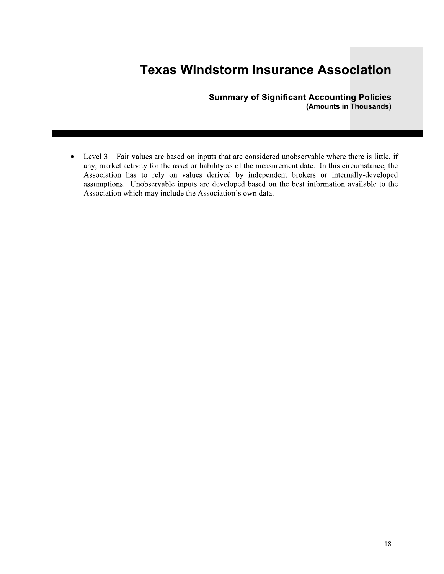**Summary of Significant Accounting Policies** (Amounts in Thousands)

Level  $3$  – Fair values are based on inputs that are considered unobservable where there is little, if  $\bullet$ any, market activity for the asset or liability as of the measurement date. In this circumstance, the Association has to rely on values derived by independent brokers or internally-developed assumptions. Unobservable inputs are developed based on the best information available to the Association which may include the Association's own data.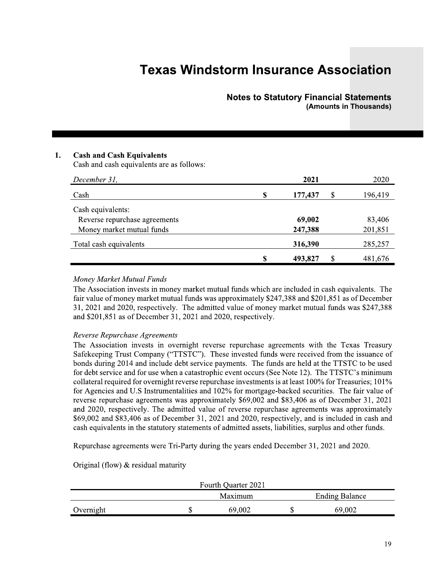### **Notes to Statutory Financial Statements** (Amounts in Thousands)

#### 1. **Cash and Cash Equivalents**

Cash and cash equivalents are as follows:

| December 31,                  |    | 2021          | 2020    |
|-------------------------------|----|---------------|---------|
| Cash                          | \$ | \$<br>177,437 | 196,419 |
| Cash equivalents:             |    |               |         |
| Reverse repurchase agreements |    | 69,002        | 83,406  |
| Money market mutual funds     |    | 247,388       | 201,851 |
| Total cash equivalents        |    | 316,390       | 285,257 |
|                               | S  | \$<br>493,827 | 481,676 |

#### Money Market Mutual Funds

The Association invests in money market mutual funds which are included in cash equivalents. The fair value of money market mutual funds was approximately \$247,388 and \$201,851 as of December 31, 2021 and 2020, respectively. The admitted value of money market mutual funds was \$247,388 and \$201,851 as of December 31, 2021 and 2020, respectively.

#### Reverse Repurchase Agreements

The Association invests in overnight reverse repurchase agreements with the Texas Treasury Safekeeping Trust Company ("TTSTC"). These invested funds were received from the issuance of bonds during 2014 and include debt service payments. The funds are held at the TTSTC to be used for debt service and for use when a catastrophic event occurs (See Note 12). The TTSTC's minimum collateral required for overnight reverse repurchase investments is at least 100% for Treasuries; 101% for Agencies and U.S Instrumentalities and 102% for mortgage-backed securities. The fair value of reverse repurchase agreements was approximately \$69,002 and \$83,406 as of December 31, 2021 and 2020, respectively. The admitted value of reverse repurchase agreements was approximately \$69,002 and \$83,406 as of December 31, 2021 and 2020, respectively, and is included in cash and cash equivalents in the statutory statements of admitted assets, liabilities, surplus and other funds.

Repurchase agreements were Tri-Party during the years ended December 31, 2021 and 2020.

Original (flow)  $&$  residual maturity

|           | Fourth Quarter 2021 |                       |  |
|-----------|---------------------|-----------------------|--|
|           | Maximum             | <b>Ending Balance</b> |  |
| Overnight | 69.002              | 69,002                |  |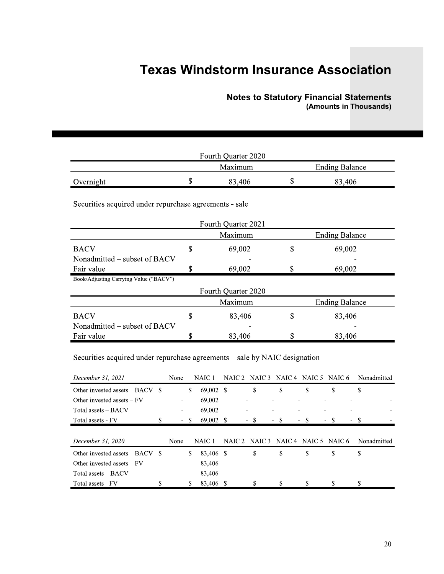#### Notes to Statutory Financial Statements (Amounts in Thousands)

|                                                        |    |                                |    | <b>Notes to Statutory Financial Statements</b><br>(Amounts in Thousands) |
|--------------------------------------------------------|----|--------------------------------|----|--------------------------------------------------------------------------|
|                                                        |    | Fourth Quarter 2020<br>Maximum |    | <b>Ending Balance</b>                                                    |
| Overnight                                              | \$ | 83,406                         | \$ | 83,406                                                                   |
| Securities acquired under repurchase agreements - sale |    | Fourth Quarter 2021            |    |                                                                          |
|                                                        |    | Maximum                        |    | <b>Ending Balance</b>                                                    |
| $D \Lambda C V$                                        | ¢  | -60 MM                         | ¢  | MA NG                                                                    |

|                                                                            | Maximum             | <b>Ending Balance</b>                             |
|----------------------------------------------------------------------------|---------------------|---------------------------------------------------|
| Overnight                                                                  | \$<br>83,406        | \$<br>83,406                                      |
| Securities acquired under repurchase agreements - sale                     |                     |                                                   |
|                                                                            | Fourth Quarter 2021 |                                                   |
|                                                                            | Maximum             | <b>Ending Balance</b>                             |
| <b>BACV</b>                                                                | \$<br>69,002        | \$<br>69,002                                      |
| Nonadmitted – subset of BACV                                               |                     |                                                   |
| Fair value                                                                 | \$<br>69,002        | \$<br>69,002                                      |
| Book/Adjusting Carrying Value ("BACV")                                     |                     |                                                   |
|                                                                            | Fourth Quarter 2020 |                                                   |
|                                                                            | Maximum             | <b>Ending Balance</b>                             |
| <b>BACV</b>                                                                | \$<br>83,406        | \$<br>83,406                                      |
| Nonadmitted – subset of BACV                                               |                     |                                                   |
| Fair value                                                                 | \$<br>83,406        | \$<br>83,406                                      |
| Securities acquired under repurchase agreements – sale by NAIC designation |                     |                                                   |
| December 31, 2021<br>None                                                  | NAIC <sub>1</sub>   | NAIC 2 NAIC 3 NAIC 4 NAIC 5 NAIC 6<br>Nonadmitted |

| December 31, 2021                      | None                     |      | NAIC <sub>1</sub> | NAIC 2 NAIC 3 NAIC 4 NAIC 5 NAIC 6 |      |       |       |      | Nonadmitted |  |
|----------------------------------------|--------------------------|------|-------------------|------------------------------------|------|-------|-------|------|-------------|--|
| Other invested assets $-$ BACV $\;$ \$ | $\mathcal{L}^{\pm}$      | -S   | 69,002 \$         | - \$                               | - \$ | $-$ S | $-$ S | - \$ |             |  |
| Other invested assets $- FV$           | ۰                        |      | 69,002            |                                    |      |       |       |      |             |  |
| Total assets – BACV                    | $\overline{\phantom{0}}$ |      | 69,002            |                                    |      |       |       |      |             |  |
| Total assets - FV                      | \$                       | - \$ | 69,002 \$         | - \$                               | - \$ | - \$  | - \$  | - \$ |             |  |
|                                        |                          |      |                   |                                    |      |       |       |      |             |  |
|                                        |                          |      |                   |                                    |      |       |       |      |             |  |
| December 31, 2020                      | None                     |      | NAIC 1            | NAIC 2 NAIC 3 NAIC 4 NAIC 5 NAIC 6 |      |       |       |      | Nonadmitted |  |
| Other invested assets $-$ BACV $\,$ \$ | $\sim$                   | -S   | 83.406 \$         | - \$                               | - \$ | $-$ S | $-$ S | - \$ |             |  |
| Other invested assets $- FV$           | ۰                        |      | 83,406            |                                    |      |       |       |      |             |  |
| Total assets - BACV                    | $\overline{\phantom{a}}$ |      | 83,406            |                                    |      |       |       |      |             |  |
| Total assets - FV                      | \$                       | - \$ | 83,406 \$         | - \$                               | - \$ | - \$  | - \$  | - \$ |             |  |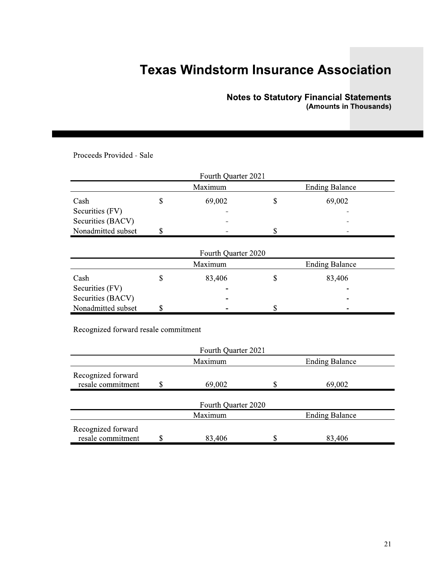#### Notes to Statutory Financial Statements (Amounts in Thousands)

|                                              | Fourth Quarter 2021 |                       |
|----------------------------------------------|---------------------|-----------------------|
|                                              | Maximum             | <b>Ending Balance</b> |
| Cash                                         | \$<br>69,002        | \$<br>69,002          |
| Securities (FV)                              |                     |                       |
| Securities (BACV)                            |                     |                       |
| Nonadmitted subset                           | \$                  | \$                    |
| Cash<br>Securities (FV)<br>Securities (BACV) | \$<br>83,406        | \$<br>83,406          |
| Nonadmitted subset                           | \$                  | \$                    |
| Recognized forward resale commitment         | Fourth Quarter 2021 |                       |
|                                              | Maximum             | <b>Ending Balance</b> |
|                                              |                     |                       |

| Maximum<br><b>Ending Balance</b> |  |        |  |                          |  |  |  |
|----------------------------------|--|--------|--|--------------------------|--|--|--|
| Cash                             |  | 83,406 |  | 83,406                   |  |  |  |
| Securities (FV)                  |  | -      |  | $\overline{\phantom{a}}$ |  |  |  |
| Securities (BACV)                |  | -      |  | $\overline{\phantom{a}}$ |  |  |  |
| Nonadmitted subset               |  | -      |  | -                        |  |  |  |

|                                         |             |                     |             | <b>Notes to Statutory Financial Statements</b><br>(Amounts in Thousands) |
|-----------------------------------------|-------------|---------------------|-------------|--------------------------------------------------------------------------|
|                                         |             |                     |             |                                                                          |
| Proceeds Provided - Sale                |             |                     |             |                                                                          |
|                                         |             |                     |             |                                                                          |
|                                         |             | Fourth Quarter 2021 |             |                                                                          |
|                                         |             | Maximum             |             | <b>Ending Balance</b>                                                    |
| Cash                                    | \$          | 69,002              | \$          | 69,002                                                                   |
| Securities (FV)                         |             |                     |             |                                                                          |
| Securities (BACV)<br>Nonadmitted subset | \$          |                     | \$          |                                                                          |
|                                         |             |                     |             |                                                                          |
|                                         |             | Fourth Quarter 2020 |             |                                                                          |
|                                         |             | Maximum             |             | <b>Ending Balance</b>                                                    |
| Cash                                    | \$          | 83,406              | \$          | 83,406                                                                   |
| Securities (FV)                         |             |                     |             |                                                                          |
| Securities (BACV)                       |             |                     |             |                                                                          |
| Nonadmitted subset                      | \$          |                     | \$          |                                                                          |
| Recognized forward resale commitment    |             |                     |             |                                                                          |
|                                         |             |                     |             |                                                                          |
|                                         |             | Fourth Quarter 2021 |             |                                                                          |
|                                         |             | Maximum             |             | <b>Ending Balance</b>                                                    |
| Recognized forward                      |             |                     |             |                                                                          |
| resale commitment                       | \$          | 69,002              | \$          | 69,002                                                                   |
|                                         |             | Fourth Quarter 2020 |             |                                                                          |
|                                         |             | Maximum             |             | <b>Ending Balance</b>                                                    |
| Recognized forward                      |             |                     |             |                                                                          |
| resale commitment                       | $\mathbb S$ | 83,406              | $\mathbb S$ | 83,406                                                                   |
|                                         |             |                     |             |                                                                          |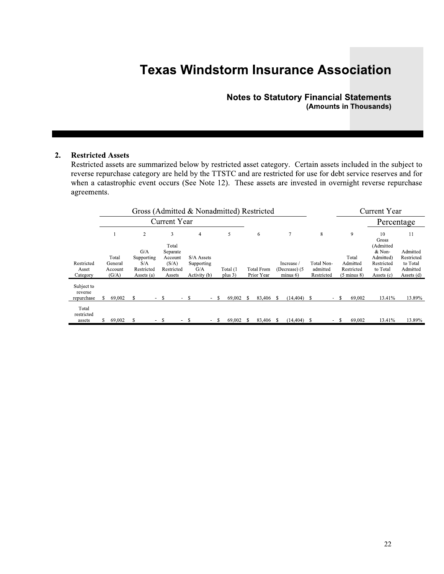### **Notes to Statutory Financial Statements** (Amounts in Thousands)

#### $2.$ **Restricted Assets**

Restricted assets are summarized below by restricted asset category. Certain assets included in the subject to reverse repurchase category are held by the TTSTC and are restricted for use for debt service reserves and for when a catastrophic event occurs (See Note 12). These assets are invested in overnight reverse repurchase agreements.

|                                     |                                      |   |                                                      |        |                                                      |        | Gross (Admitted & Nonadmitted) Restricted       |    |                       |      |                                 |                                        |    |                                      |    |                                                           | Current Year                                                |                                                              |
|-------------------------------------|--------------------------------------|---|------------------------------------------------------|--------|------------------------------------------------------|--------|-------------------------------------------------|----|-----------------------|------|---------------------------------|----------------------------------------|----|--------------------------------------|----|-----------------------------------------------------------|-------------------------------------------------------------|--------------------------------------------------------------|
|                                     |                                      |   |                                                      |        | <b>Current Year</b>                                  |        |                                                 |    |                       |      |                                 |                                        |    |                                      |    |                                                           | Percentage                                                  |                                                              |
|                                     |                                      |   | 2                                                    |        | 3<br>Total                                           |        | $\overline{4}$                                  |    | 5                     |      | 6                               | 7                                      |    | 8                                    |    | 9                                                         | 10<br>Gross<br>(Admitted                                    | 11                                                           |
| Restricted<br>Asset<br>Category     | Total<br>General<br>Account<br>(G/A) |   | G/A<br>Supporting<br>S/A<br>Restricted<br>Assets (a) |        | Separate<br>Account<br>(S/A)<br>Restricted<br>Assets |        | S/A Assets<br>Supporting<br>G/A<br>Activity (b) |    | Total (1<br>plus $3)$ |      | <b>Total From</b><br>Prior Year | Increase /<br>(Decrease) (5<br>minus 6 |    | Total Non-<br>admitted<br>Restricted |    | Total<br>Admitted<br>Restricted<br>$(5 \text{ minus } 8)$ | & Non-<br>Admitted)<br>Restricted<br>to Total<br>Assets (c) | Admitted<br>Restricted<br>to Total<br>Admitted<br>Assets (d) |
| Subject to<br>reverse<br>repurchase | 69,002                               | S |                                                      | - \$   |                                                      | $\sim$ | -S                                              | -S | 69,002                | - \$ | 83,406 \$                       | $(14, 404)$ \$                         |    | н.                                   | -S | 69,002                                                    | 13.41%                                                      | 13.89%                                                       |
| Total<br>restricted<br>assets       | 69,002                               | S |                                                      | $\sim$ | -S                                                   | $\sim$ | S                                               | S  | 69,002                | -8   | 83,406 \$                       | (14, 404)                              | S. | $\sim$                               | S  | 69,002                                                    | 13.41%                                                      | 13.89%                                                       |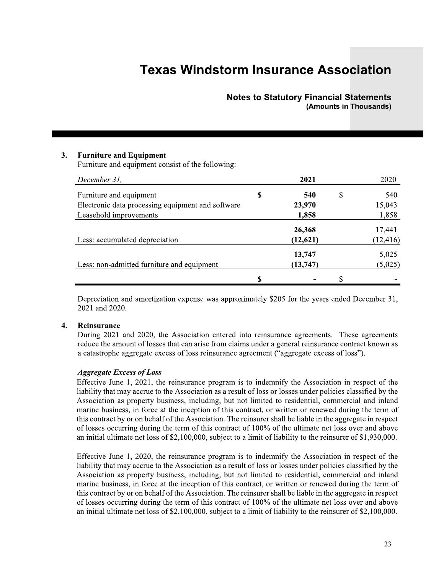### **Notes to Statutory Financial Statements** (Amounts in Thousands)

#### $3.$ **Furniture and Equipment**

Furniture and equipment consist of the following:

| December 31,                                      | 2021      | 2020      |
|---------------------------------------------------|-----------|-----------|
| Furniture and equipment                           | \$<br>540 | \$<br>540 |
| Electronic data processing equipment and software | 23,970    | 15,043    |
| Leasehold improvements                            | 1,858     | 1,858     |
|                                                   | 26,368    | 17,441    |
| Less: accumulated depreciation                    | (12, 621) | (12, 416) |
|                                                   | 13,747    | 5,025     |
| Less: non-admitted furniture and equipment        | (13, 747) | (5,025)   |
|                                                   | \$        | \$        |

Depreciation and amortization expense was approximately \$205 for the years ended December 31, 2021 and 2020.

#### $\overline{4}$ . Reinsurance

During 2021 and 2020, the Association entered into reinsurance agreements. These agreements reduce the amount of losses that can arise from claims under a general reinsurance contract known as a catastrophe aggregate excess of loss reinsurance agreement ("aggregate excess of loss").

#### **Aggregate Excess of Loss**

Effective June 1, 2021, the reinsurance program is to indemnify the Association in respect of the liability that may accrue to the Association as a result of loss or losses under policies classified by the Association as property business, including, but not limited to residential, commercial and inland marine business, in force at the inception of this contract, or written or renewed during the term of this contract by or on behalf of the Association. The reinsurer shall be liable in the aggregate in respect of losses occurring during the term of this contract of 100% of the ultimate net loss over and above an initial ultimate net loss of  $$2,100,000$ , subject to a limit of liability to the reinsurer of  $$1,930,000$ .

Effective June 1, 2020, the reinsurance program is to indemnify the Association in respect of the liability that may accrue to the Association as a result of loss or losses under policies classified by the Association as property business, including, but not limited to residential, commercial and inland marine business, in force at the inception of this contract, or written or renewed during the term of this contract by or on behalf of the Association. The reinsurer shall be liable in the aggregate in respect of losses occurring during the term of this contract of 100% of the ultimate net loss over and above an initial ultimate net loss of \$2,100,000, subject to a limit of liability to the reinsurer of \$2,100,000.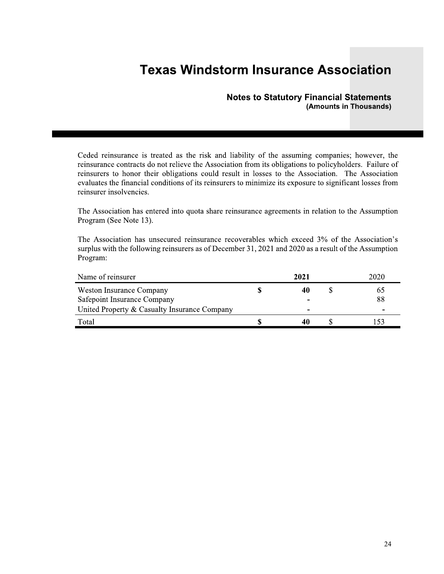#### **Notes to Statutory Financial Statements** (Amounts in Thousands)

Ceded reinsurance is treated as the risk and liability of the assuming companies; however, the reinsurance contracts do not relieve the Association from its obligations to policyholders. Failure of reinsurers to honor their obligations could result in losses to the Association. The Association evaluates the financial conditions of its reinsurers to minimize its exposure to significant losses from reinsurer insolvencies.

The Association has entered into quota share reinsurance agreements in relation to the Assumption Program (See Note 13).

The Association has unsecured reinsurance recoverables which exceed 3% of the Association's surplus with the following reinsurers as of December 31, 2021 and 2020 as a result of the Assumption Program:

| Name of reinsurer                                                                                       | 2021         | 2020     |
|---------------------------------------------------------------------------------------------------------|--------------|----------|
| Weston Insurance Company<br>Safepoint Insurance Company<br>United Property & Casualty Insurance Company | 40<br>-<br>- | 65<br>88 |
| Total                                                                                                   |              |          |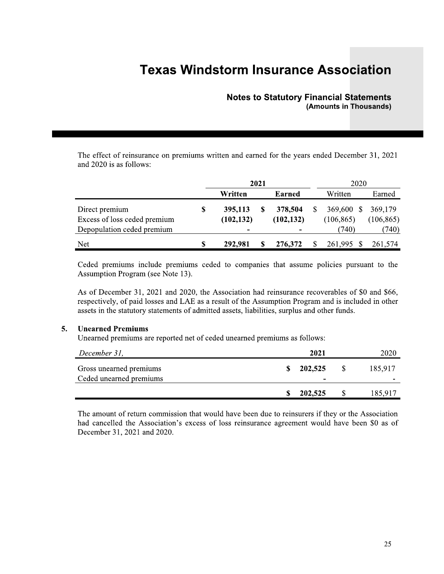### **Notes to Statutory Financial Statements** (Amounts in Thousands)

The effect of reinsurance on premiums written and earned for the years ended December 31, 2021 and 2020 is as follows:

|                                                | 2021                        |  |                       | 2020                        |                       |  |
|------------------------------------------------|-----------------------------|--|-----------------------|-----------------------------|-----------------------|--|
|                                                | Written                     |  | <b>Earned</b>         | Written                     | Earned                |  |
| Direct premium<br>Excess of loss ceded premium | \$<br>395,113<br>(102, 132) |  | 378,504<br>(102, 132) | 369,600<br>-S<br>(106, 865) | 369,179<br>(106, 865) |  |
| Depopulation ceded premium                     | -                           |  | $\blacksquare$        | (740)                       | (740)                 |  |
| Net                                            | 292,981                     |  | 276,372               | 261.995                     | 261.574               |  |

Ceded premiums include premiums ceded to companies that assume policies pursuant to the Assumption Program (see Note 13).

As of December 31, 2021 and 2020, the Association had reinsurance recoverables of \$0 and \$66, respectively, of paid losses and LAE as a result of the Assumption Program and is included in other assets in the statutory statements of admitted assets, liabilities, surplus and other funds.

#### **Unearned Premiums**  $5.$

Unearned premiums are reported net of ceded unearned premiums as follows:

| December 31,                                       | 2021                                |    | 2020    |
|----------------------------------------------------|-------------------------------------|----|---------|
| Gross unearned premiums<br>Ceded unearned premiums | 202,525<br>$\overline{\phantom{0}}$ | -S | 185,917 |
|                                                    | 202,525                             |    | 185.917 |

The amount of return commission that would have been due to reinsurers if they or the Association had cancelled the Association's excess of loss reinsurance agreement would have been \$0 as of December 31, 2021 and 2020.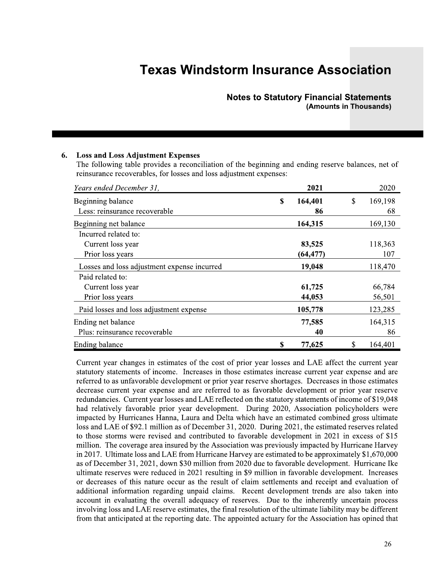### Notes to Statutory Financial Statements (Amounts in Thousands)

|                                                                                                                                                                                                                            | <b>Notes to Statutory Financial Statements</b> | (Amounts in Thousands) |             |                  |
|----------------------------------------------------------------------------------------------------------------------------------------------------------------------------------------------------------------------------|------------------------------------------------|------------------------|-------------|------------------|
| <b>Loss and Loss Adjustment Expenses</b><br>6.<br>The following table provides a reconciliation of the beginning and ending reserve balances, net of<br>reinsurance recoverables, for losses and loss adjustment expenses: |                                                |                        |             |                  |
| Years ended December 31,                                                                                                                                                                                                   |                                                | 2021                   |             | 2020             |
| Beginning balance<br>Less: reinsurance recoverable                                                                                                                                                                         | $\mathbf S$                                    | 164,401<br>86          | $\mathsf S$ | 169,198<br>68    |
| Beginning net balance<br>Incurred related to:                                                                                                                                                                              |                                                | 164,315                |             | 169,130          |
| Current loss year<br>Prior loss years                                                                                                                                                                                      |                                                | 83,525<br>(64, 477)    |             | 118,363<br>107   |
| Losses and loss adjustment expense incurred<br>Paid related to:                                                                                                                                                            |                                                | 19,048                 |             | 118,470          |
| Current loss year<br>Prior loss years                                                                                                                                                                                      |                                                | 61,725<br>44,053       |             | 66,784<br>56,501 |
| Paid losses and loss adjustment expense                                                                                                                                                                                    |                                                | 105,778                |             | 123,285          |
| Ending net balance<br>Plus: reinsurance recoverable                                                                                                                                                                        |                                                | 77,585<br>40           |             | 164,315<br>86    |
| Ending balance                                                                                                                                                                                                             | \$                                             | 77,625                 | \$          | 164,401          |

Current year changes in estimates of the cost of prior year losses and LAE affect the current year statutory statements of income. Increases in those estimates increase current year expense and are referred to as unfavorable development or prior year reserve shortages. Decreases in those estimates decrease current year expense and are referred to as favorable development or prior year reserve redundancies. Current year losses and LAE reflected on the statutory statements of income of \$19,048 had relatively favorable prior year development. During 2020, Association policyholders were impacted by Hurricanes Hanna, Laura and Delta which have an estimated combined gross ultimate loss and LAE of \$92.1 million as of December 31, 2020. During 2021, the estimated reserves related to those storms were revised and contributed to favorable development in 2021 in excess of \$15 million. The coverage area insured by the Association was previously impacted by Hurricane Harvey in 2017. Ultimate loss and LAE from Hurricane Harvey are estimated to be approximately \$1,670,000 as of December 31, 2021, down \$30 million from 2020 due to favorable development. Hurricane Ike ultimate reserves were reduced in 2021 resulting in \$9 million in favorable development. Increases  $\overline{a}$  or decreases of this nature occur as the result of claim settlements and receipt and evaluation of additional information regarding unpaid claims. Recent development trends are also taken into account in evaluating the overall adequacy of reserves. Due to the inherently uncertain process involving loss and LAE reserve estimates, the final resolution of the ultimate liability may be different from that anticipated at the reporting date. The appointed actuary for the Association has opined that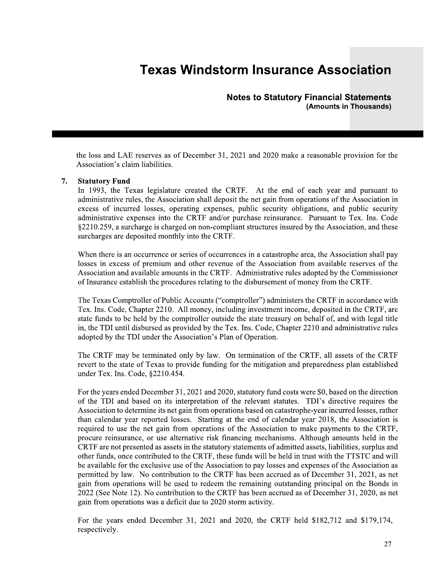**Notes to Statutory Financial Statements** (Amounts in Thousands)

the loss and LAE reserves as of December 31, 2021 and 2020 make a reasonable provision for the Association's claim liabilities.

#### **Statutory Fund** 7.

In 1993, the Texas legislature created the CRTF. At the end of each year and pursuant to administrative rules, the Association shall deposit the net gain from operations of the Association in excess of incurred losses, operating expenses, public security obligations, and public security administrative expenses into the CRTF and/or purchase reinsurance. Pursuant to Tex. Ins. Code §2210.259, a surcharge is charged on non-compliant structures insured by the Association, and these surcharges are deposited monthly into the CRTF.

When there is an occurrence or series of occurrences in a catastrophe area, the Association shall pay losses in excess of premium and other revenue of the Association from available reserves of the Association and available amounts in the CRTF. Administrative rules adopted by the Commissioner of Insurance establish the procedures relating to the disbursement of money from the CRTF.

The Texas Comptroller of Public Accounts ("comptroller") administers the CRTF in accordance with Tex. Ins. Code, Chapter 2210. All money, including investment income, deposited in the CRTF, are state funds to be held by the comptroller outside the state treasury on behalf of, and with legal title in, the TDI until disbursed as provided by the Tex. Ins. Code, Chapter 2210 and administrative rules adopted by the TDI under the Association's Plan of Operation.

The CRTF may be terminated only by law. On termination of the CRTF, all assets of the CRTF revert to the state of Texas to provide funding for the mitigation and preparedness plan established under Tex. Ins. Code, §2210.454.

For the years ended December 31, 2021 and 2020, statutory fund costs were \$0, based on the direction of the TDI and based on its interpretation of the relevant statutes. TDI's directive requires the Association to determine its net gain from operations based on catastrophe-year incurred losses, rather than calendar year reported losses. Starting at the end of calendar year 2018, the Association is required to use the net gain from operations of the Association to make payments to the CRTF, procure reinsurance, or use alternative risk financing mechanisms. Although amounts held in the CRTF are not presented as assets in the statutory statements of admitted assets, liabilities, surplus and other funds, once contributed to the CRTF, these funds will be held in trust with the TTSTC and will be available for the exclusive use of the Association to pay losses and expenses of the Association as permitted by law. No contribution to the CRTF has been accrued as of December 31, 2021, as net gain from operations will be used to redeem the remaining outstanding principal on the Bonds in 2022 (See Note 12). No contribution to the CRTF has been accrued as of December 31, 2020, as net gain from operations was a deficit due to 2020 storm activity.

For the years ended December 31, 2021 and 2020, the CRTF held \$182,712 and \$179,174, respectively.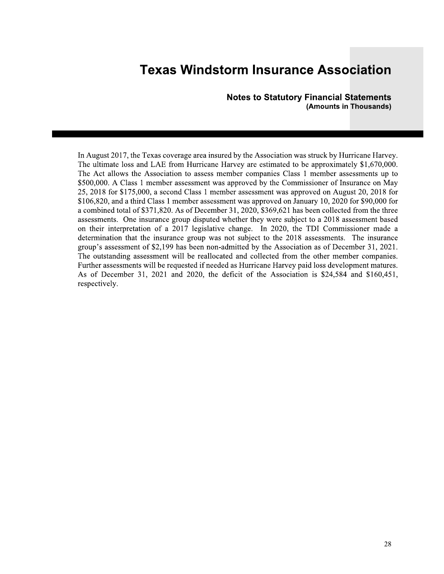**Notes to Statutory Financial Statements** (Amounts in Thousands)

In August 2017, the Texas coverage area insured by the Association was struck by Hurricane Harvey. The ultimate loss and LAE from Hurricane Harvey are estimated to be approximately \$1,670,000. The Act allows the Association to assess member companies Class 1 member assessments up to \$500,000. A Class 1 member assessment was approved by the Commissioner of Insurance on May 25, 2018 for \$175,000, a second Class 1 member assessment was approved on August 20, 2018 for \$106,820, and a third Class 1 member assessment was approved on January 10, 2020 for \$90,000 for a combined total of \$371,820. As of December 31, 2020, \$369,621 has been collected from the three assessments. One insurance group disputed whether they were subject to a 2018 assessment based on their interpretation of a 2017 legislative change. In 2020, the TDI Commissioner made a determination that the insurance group was not subject to the 2018 assessments. The insurance group's assessment of \$2,199 has been non-admitted by the Association as of December 31, 2021. The outstanding assessment will be reallocated and collected from the other member companies. Further assessments will be requested if needed as Hurricane Harvey paid loss development matures. As of December 31, 2021 and 2020, the deficit of the Association is \$24,584 and \$160,451, respectively.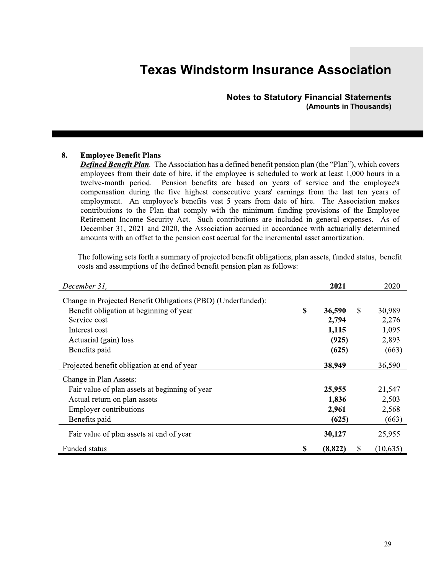#### **Notes to Statutory Financial Statements** (Amounts in Thousands)

#### 8. **Employee Benefit Plans**

**Defined Benefit Plan.** The Association has a defined benefit pension plan (the "Plan"), which covers employees from their date of hire, if the employee is scheduled to work at least 1,000 hours in a twelve-month period. Pension benefits are based on years of service and the employee's compensation during the five highest consecutive years' earnings from the last ten years of employment. An employee's benefits vest 5 years from date of hire. The Association makes contributions to the Plan that comply with the minimum funding provisions of the Employee Retirement Income Security Act. Such contributions are included in general expenses. As of December 31, 2021 and 2020, the Association accrued in accordance with actuarially determined amounts with an offset to the pension cost accrual for the incremental asset amortization.

The following sets forth a summary of projected benefit obligations, plan assets, funded status, benefit costs and assumptions of the defined benefit pension plan as follows:

| December 31,                                                 |    | 2021          | 2020      |
|--------------------------------------------------------------|----|---------------|-----------|
| Change in Projected Benefit Obligations (PBO) (Underfunded): |    |               |           |
| Benefit obligation at beginning of year                      | S  | \$<br>36,590  | 30,989    |
| Service cost                                                 |    | 2,794         | 2,276     |
| Interest cost                                                |    | 1,115         | 1,095     |
| Actuarial (gain) loss                                        |    | (925)         | 2,893     |
| Benefits paid                                                |    | (625)         | (663)     |
| Projected benefit obligation at end of year                  |    | 38,949        | 36,590    |
| Change in Plan Assets:                                       |    |               |           |
| Fair value of plan assets at beginning of year               |    | 25,955        | 21,547    |
| Actual return on plan assets                                 |    | 1,836         | 2,503     |
| <b>Employer contributions</b>                                |    | 2,961         | 2,568     |
| Benefits paid                                                |    | (625)         | (663)     |
| Fair value of plan assets at end of year                     |    | 30,127        | 25,955    |
| Funded status                                                | \$ | (8, 822)<br>S | (10, 635) |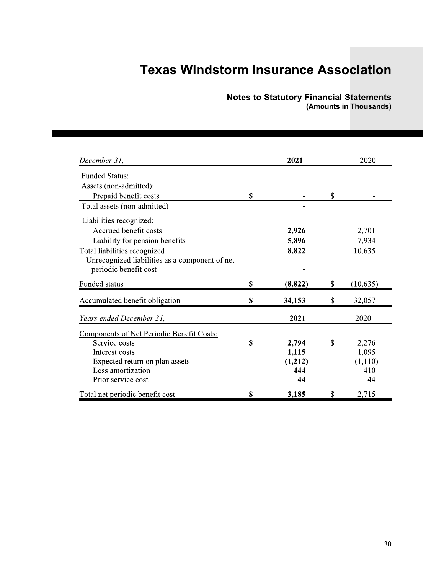# Notes to Statutory Financial Statements<br>(Amounts in Thousands)

| December 31,                                   | 2021          | 2020            |
|------------------------------------------------|---------------|-----------------|
| <b>Funded Status:</b>                          |               |                 |
| Assets (non-admitted):                         |               |                 |
| Prepaid benefit costs                          | \$            | \$              |
| Total assets (non-admitted)                    |               |                 |
| Liabilities recognized:                        |               |                 |
| Accrued benefit costs                          | 2,926         | 2,701           |
| Liability for pension benefits                 | 5,896         | 7,934           |
| Total liabilities recognized                   | 8,822         | 10,635          |
| Unrecognized liabilities as a component of net |               |                 |
| periodic benefit cost                          |               |                 |
| Funded status                                  | \$<br>(8,822) | \$<br>(10, 635) |
| Accumulated benefit obligation                 | \$<br>34,153  | \$<br>32,057    |
| Years ended December 31,                       | 2021          | 2020            |
| Components of Net Periodic Benefit Costs:      |               |                 |
| Service costs                                  | \$<br>2,794   | \$<br>2,276     |
| Interest costs                                 | 1,115         | 1,095           |
| Expected return on plan assets                 | (1,212)       | (1,110)         |
| Loss amortization                              | 444           | 410             |
| Prior service cost                             | 44            | 44              |
| Total net periodic benefit cost                | \$<br>3,185   | \$<br>2,715     |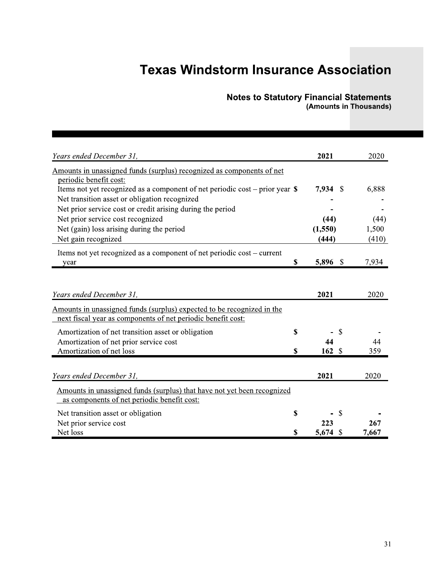#### Notes to Statutory Financial Statements (Amounts in Thousands)

|                                                                               |             | <b>Notes to Statutory Financial Statements</b><br>(Amounts in Thousands) |              |
|-------------------------------------------------------------------------------|-------------|--------------------------------------------------------------------------|--------------|
|                                                                               |             |                                                                          |              |
| Years ended December 31,                                                      |             | 2021                                                                     | 2020         |
| Amounts in unassigned funds (surplus) recognized as components of net         |             |                                                                          |              |
| periodic benefit cost:                                                        |             |                                                                          |              |
| Items not yet recognized as a component of net periodic cost – prior year $\$ |             | $7,934$ \$                                                               | 6,888        |
| Net transition asset or obligation recognized                                 |             |                                                                          |              |
| Net prior service cost or credit arising during the period                    |             |                                                                          |              |
| Net prior service cost recognized                                             |             | (44)                                                                     | (44)         |
| Net (gain) loss arising during the period                                     |             | (1,550)                                                                  | 1,500        |
| Net gain recognized                                                           |             | (444)                                                                    | (410)        |
| Items not yet recognized as a component of net periodic cost – current        |             |                                                                          |              |
| year                                                                          | $\mathbf S$ | 5,896 \$                                                                 | 7,934        |
|                                                                               |             |                                                                          |              |
|                                                                               |             |                                                                          |              |
| Years ended December 31,                                                      |             | 2021                                                                     | 2020         |
| Amounts in unassigned funds (surplus) expected to be recognized in the        |             |                                                                          |              |
| next fiscal year as components of net periodic benefit cost:                  |             |                                                                          |              |
| Amortization of net transition asset or obligation                            | \$          | $\mathcal{S}$                                                            |              |
| Amortization of net prior service cost                                        |             | 44                                                                       | 44           |
| Amortization of net loss                                                      | \$          | 162S                                                                     | 359          |
|                                                                               |             |                                                                          |              |
|                                                                               |             |                                                                          |              |
| Years ended December 31,                                                      |             | 2021                                                                     | 2020         |
|                                                                               |             |                                                                          |              |
| Amounts in unassigned funds (surplus) that have not yet been recognized       |             |                                                                          |              |
| as components of net periodic benefit cost:                                   |             |                                                                          |              |
| Net transition asset or obligation                                            | \$          | <sup>S</sup>                                                             |              |
| Net prior service cost<br>Net loss                                            | \$          | 223<br>5,674 $\sqrt{5}$                                                  | 267<br>7,667 |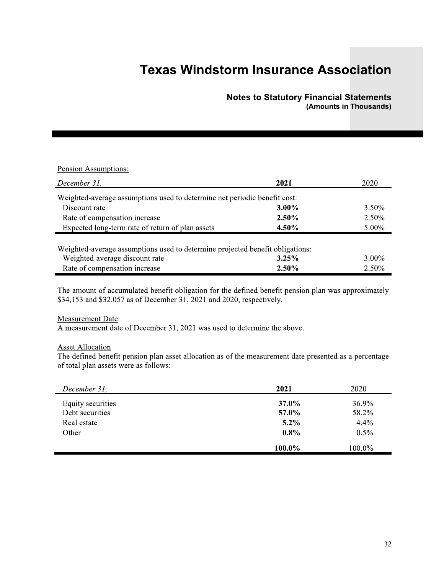### **Notes to Statutory Financial Statements** (Amounts in Thousands)

#### Pension Assumptions:

| December 31,                                                                                                    | 2021     | 2020     |
|-----------------------------------------------------------------------------------------------------------------|----------|----------|
| Weighted-average assumptions used to determine net periodic benefit cost:                                       |          |          |
| Discount rate                                                                                                   | 3.00%    | $3.50\%$ |
| Rate of compensation increase                                                                                   | 2.50%    | 2.50%    |
| Expected long-term rate of return of plan assets                                                                | 4.50%    | $5.00\%$ |
| Weighted-average assumptions used to determine projected benefit obligations:<br>Weighted-average discount rate | 3.25%    | $3.00\%$ |
|                                                                                                                 |          |          |
| Rate of compensation increase                                                                                   | $2.50\%$ | $2.50\%$ |

The amount of accumulated benefit obligation for the defined benefit pension plan was approximately \$34,153 and \$32,057 as of December 31, 2021 and 2020, respectively.

#### **Measurement Date**

A measurement date of December 31, 2021 was used to determine the above.

#### **Asset Allocation**

The defined benefit pension plan asset allocation as of the measurement date presented as a percentage of total plan assets were as follows:

| December 31,      | 2021    | 2020    |
|-------------------|---------|---------|
| Equity securities | 37.0%   | 36.9%   |
| Debt securities   | 57.0%   | 58.2%   |
| Real estate       | $5.2\%$ | 4.4%    |
| Other             | $0.8\%$ | $0.5\%$ |
|                   |         |         |
|                   | 100.0%  | 100.0%  |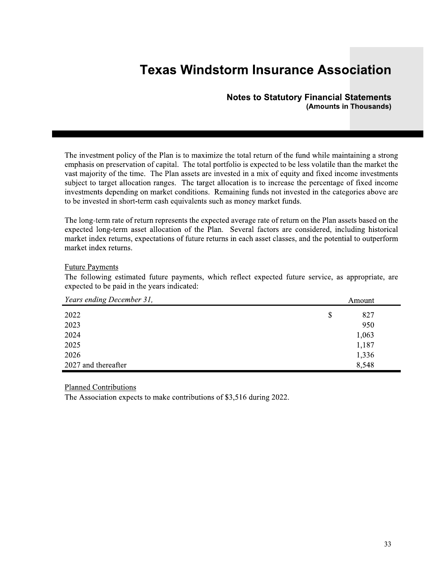#### **Notes to Statutory Financial Statements** (Amounts in Thousands)

The investment policy of the Plan is to maximize the total return of the fund while maintaining a strong emphasis on preservation of capital. The total portfolio is expected to be less volatile than the market the vast majority of the time. The Plan assets are invested in a mix of equity and fixed income investments subject to target allocation ranges. The target allocation is to increase the percentage of fixed income investments depending on market conditions. Remaining funds not invested in the categories above are to be invested in short-term cash equivalents such as money market funds.

The long-term rate of return represents the expected average rate of return on the Plan assets based on the expected long-term asset allocation of the Plan. Several factors are considered, including historical market index returns, expectations of future returns in each asset classes, and the potential to outperform market index returns.

#### **Future Payments**

The following estimated future payments, which reflect expected future service, as appropriate, are expected to be paid in the years indicated:

| Years ending December 31, | Amount    |
|---------------------------|-----------|
| 2022                      | \$<br>827 |
| 2023                      | 950       |
| 2024                      | 1,063     |
| 2025                      | 1,187     |
| 2026                      | 1,336     |
| 2027 and thereafter       | 8,548     |

**Planned Contributions** 

The Association expects to make contributions of \$3,516 during 2022.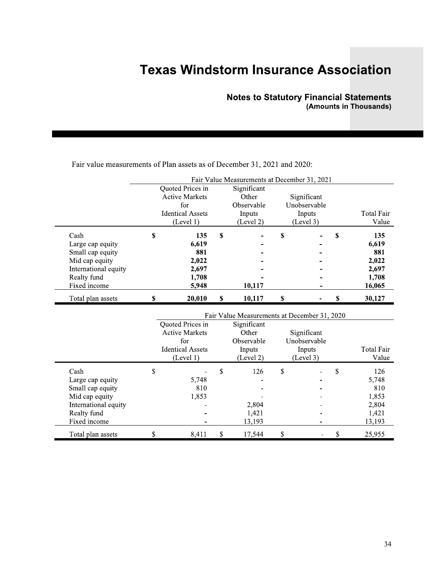### **Notes to Statutory Financial Statements** (Amounts in Thousands)

|                                                                                                                       |                                                                                          | Fair Value Measurements at December 31, 2021                                                              |                                                    |    |                                                          |
|-----------------------------------------------------------------------------------------------------------------------|------------------------------------------------------------------------------------------|-----------------------------------------------------------------------------------------------------------|----------------------------------------------------|----|----------------------------------------------------------|
|                                                                                                                       | Quoted Prices in<br><b>Active Markets</b><br>for<br><b>Identical Assets</b><br>(Level 1) | Significant<br>Other<br>Observable<br>Inputs<br>(Level 2)                                                 | Significant<br>Unobservable<br>Inputs<br>(Level 3) |    | Total Fair<br>Value                                      |
| Cash<br>Large cap equity<br>Small cap equity<br>Mid cap equity<br>International equity<br>Realty fund<br>Fixed income | \$<br>135<br>6,619<br>881<br>2,022<br>2,697<br>1,708<br>5,948                            | \$<br>10,117                                                                                              | \$                                                 | S  | 135<br>6,619<br>881<br>2,022<br>2,697<br>1,708<br>16,065 |
| Total plan assets                                                                                                     | \$<br>20,010                                                                             | \$<br>10,117                                                                                              | \$                                                 | \$ | 30,127                                                   |
|                                                                                                                       | Quoted Prices in<br><b>Active Markets</b><br>for<br><b>Identical Assets</b><br>(Level 1) | Fair Value Measurements at December 31, 2020<br>Significant<br>Other<br>Observable<br>Inputs<br>(Level 2) | Significant<br>Unobservable<br>Inputs<br>(Level 3) |    | Total Fair<br>Value                                      |
| Cash                                                                                                                  | \$                                                                                       | \$<br>126                                                                                                 | \$                                                 | \$ | 126                                                      |

 $\overline{a}$ 

 $\overline{\phantom{a}}$ 

 $\overline{a}$ 

 $\mathbb S$ 

 $\overline{\phantom{a}}$ 

 $\overline{a}$ 

 $\overline{a}$ 

 $\mathbb S$ 

2,804

1,421

13,193

17,544

5,748

1,853

8,411

 $\mathbb S$ 

810

Large cap equity

Small cap equity

Mid cap equity

Realty fund

Fixed income

Total plan assets

International equity

Fair value measurements of Plan assets as of December 31, 2021 and 2020:

5,748

1,853

2,804

1,421

13,193

25,955

 $\overline{a}$ 

 $\overline{a}$ 

 $\overline{a}$ 

 $\overline{\phantom{a}}$ 

 $\overline{a}$ 

 $\mathbb{L}$ 

 $\mathbb S$ 

810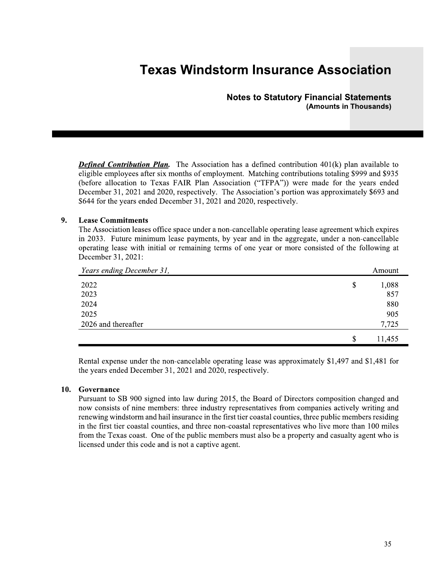### Notes to Statutory Financial Statements (Amounts in Thousands)

**Notes to Statutory Financial Statements**<br> **(Amounts in Thousands)**<br> **(Amounts in Thousands)**<br> **(Amounts in Thousands)**<br> **(Amounts in Thousands)**<br> **(Amounts in Thousands)**<br> **(Amounts in Thousands)**<br> **(Amounts in Thousands)** 

#### $\mathcal{L}^{\text{max}}$ 9. Lease Commitments

The Association leases office space under a non-cancellable operating lease agreement which expires in 2033. Future minimum lease payments, by year and in the aggregate, under a non-cancellable operating lease with initial or remaining terms of one year or more consisted of the following at December 31, 2021:

| Years ending December 31, |    | Amount |
|---------------------------|----|--------|
| 2022                      | \$ | 1,088  |
| 2023                      |    | 857    |
| 2024                      |    | 880    |
| 2025                      |    | 905    |
| 2026 and thereafter       |    | 7,725  |
|                           | S  | 11,455 |

Rental expense under the non-cancelable operating lease was approximately \$1,497 and \$1,481 for the years ended December 31, 2021 and 2020, respectively.

#### ingen<br>Stadt i San 10. Governance

Pursuant to SB 900 signed into law during 2015, the Board of Directors composition changed and now consists of nine members: three industry representatives from companies actively writing and renewing windstorm and hail insurance in the first tier coastal counties, three public members residing in the first tier coastal counties, and three non-coastal representatives who live more than 100 miles from the Texas coast. One of the public members must also be a property and casualty agent who is licensed under this code and is not a captive agent.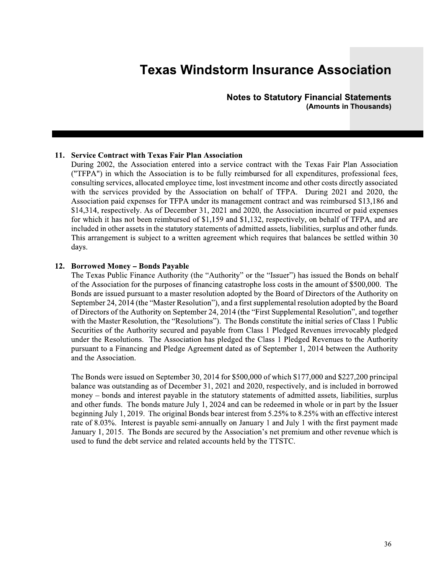**Notes to Statutory Financial Statements** (Amounts in Thousands)

#### 11. Service Contract with Texas Fair Plan Association

During 2002, the Association entered into a service contract with the Texas Fair Plan Association ("TFPA") in which the Association is to be fully reimbursed for all expenditures, professional fees, consulting services, allocated employee time, lost investment income and other costs directly associated with the services provided by the Association on behalf of TFPA. During 2021 and 2020, the Association paid expenses for TFPA under its management contract and was reimbursed \$13,186 and \$14,314, respectively. As of December 31, 2021 and 2020, the Association incurred or paid expenses for which it has not been reimbursed of \$1,159 and \$1,132, respectively, on behalf of TFPA, and are included in other assets in the statutory statements of admitted assets, liabilities, surplus and other funds. This arrangement is subject to a written agreement which requires that balances be settled within 30 days.

#### 12. Borrowed Money – Bonds Payable

The Texas Public Finance Authority (the "Authority" or the "Issuer") has issued the Bonds on behalf of the Association for the purposes of financing catastrophe loss costs in the amount of \$500,000. The Bonds are issued pursuant to a master resolution adopted by the Board of Directors of the Authority on September 24, 2014 (the "Master Resolution"), and a first supplemental resolution adopted by the Board of Directors of the Authority on September 24, 2014 (the "First Supplemental Resolution", and together with the Master Resolution, the "Resolutions"). The Bonds constitute the initial series of Class 1 Public Securities of the Authority secured and payable from Class 1 Pledged Revenues irrevocably pledged under the Resolutions. The Association has pledged the Class 1 Pledged Revenues to the Authority pursuant to a Financing and Pledge Agreement dated as of September 1, 2014 between the Authority and the Association.

The Bonds were issued on September 30, 2014 for \$500,000 of which \$177,000 and \$227,200 principal balance was outstanding as of December 31, 2021 and 2020, respectively, and is included in borrowed money – bonds and interest payable in the statutory statements of admitted assets, liabilities, surplus and other funds. The bonds mature July 1, 2024 and can be redeemed in whole or in part by the Issuer beginning July 1, 2019. The original Bonds bear interest from 5.25% to 8.25% with an effective interest rate of 8.03%. Interest is payable semi-annually on January 1 and July 1 with the first payment made January 1, 2015. The Bonds are secured by the Association's net premium and other revenue which is used to fund the debt service and related accounts held by the TTSTC.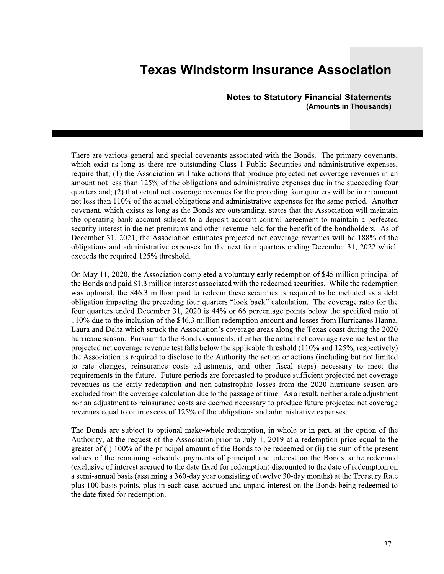**Notes to Statutory Financial Statements** (Amounts in Thousands)

There are various general and special covenants associated with the Bonds. The primary covenants, which exist as long as there are outstanding Class 1 Public Securities and administrative expenses, require that; (1) the Association will take actions that produce projected net coverage revenues in an amount not less than 125% of the obligations and administrative expenses due in the succeeding four quarters and; (2) that actual net coverage revenues for the preceding four quarters will be in an amount not less than 110% of the actual obligations and administrative expenses for the same period. Another covenant, which exists as long as the Bonds are outstanding, states that the Association will maintain the operating bank account subject to a deposit account control agreement to maintain a perfected security interest in the net premiums and other revenue held for the benefit of the bondholders. As of December 31, 2021, the Association estimates projected net coverage revenues will be 188% of the obligations and administrative expenses for the next four quarters ending December 31, 2022 which exceeds the required 125% threshold.

On May 11, 2020, the Association completed a voluntary early redemption of \$45 million principal of the Bonds and paid \$1.3 million interest associated with the redeemed securities. While the redemption was optional, the \$46.3 million paid to redeem these securities is required to be included as a debt obligation impacting the preceding four quarters "look back" calculation. The coverage ratio for the four quarters ended December 31, 2020 is 44% or 66 percentage points below the specified ratio of 110% due to the inclusion of the \$46.3 million redemption amount and losses from Hurricanes Hanna, Laura and Delta which struck the Association's coverage areas along the Texas coast during the 2020 hurricane season. Pursuant to the Bond documents, if either the actual net coverage revenue test or the projected net coverage revenue test falls below the applicable threshold  $(110\%$  and  $125\%$ , respectively) the Association is required to disclose to the Authority the action or actions (including but not limited to rate changes, reinsurance costs adjustments, and other fiscal steps) necessary to meet the requirements in the future. Future periods are forecasted to produce sufficient projected net coverage revenues as the early redemption and non-catastrophic losses from the 2020 hurricane season are excluded from the coverage calculation due to the passage of time. As a result, neither a rate adjustment nor an adjustment to reinsurance costs are deemed necessary to produce future projected net coverage revenues equal to or in excess of 125% of the obligations and administrative expenses.

The Bonds are subject to optional make-whole redemption, in whole or in part, at the option of the Authority, at the request of the Association prior to July 1, 2019 at a redemption price equal to the greater of (i) 100% of the principal amount of the Bonds to be redeemed or (ii) the sum of the present values of the remaining schedule payments of principal and interest on the Bonds to be redeemed (exclusive of interest accrued to the date fixed for redemption) discounted to the date of redemption on a semi-annual basis (assuming a 360-day year consisting of twelve 30-day months) at the Treasury Rate plus 100 basis points, plus in each case, accrued and unpaid interest on the Bonds being redeemed to the date fixed for redemption.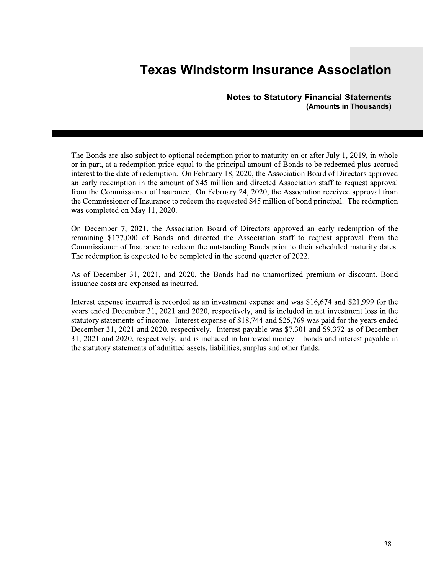#### **Notes to Statutory Financial Statements** (Amounts in Thousands)

The Bonds are also subject to optional redemption prior to maturity on or after July 1, 2019, in whole or in part, at a redemption price equal to the principal amount of Bonds to be redeemed plus accrued interest to the date of redemption. On February 18, 2020, the Association Board of Directors approved an early redemption in the amount of \$45 million and directed Association staff to request approval from the Commissioner of Insurance. On February 24, 2020, the Association received approval from the Commissioner of Insurance to redeem the requested \$45 million of bond principal. The redemption was completed on May 11, 2020.

On December 7, 2021, the Association Board of Directors approved an early redemption of the remaining \$177,000 of Bonds and directed the Association staff to request approval from the Commissioner of Insurance to redeem the outstanding Bonds prior to their scheduled maturity dates. The redemption is expected to be completed in the second quarter of 2022.

As of December 31, 2021, and 2020, the Bonds had no unamortized premium or discount. Bond issuance costs are expensed as incurred.

Interest expense incurred is recorded as an investment expense and was \$16,674 and \$21,999 for the years ended December 31, 2021 and 2020, respectively, and is included in net investment loss in the statutory statements of income. Interest expense of \$18,744 and \$25,769 was paid for the years ended December 31, 2021 and 2020, respectively. Interest payable was \$7,301 and \$9,372 as of December 31, 2021 and 2020, respectively, and is included in borrowed money – bonds and interest payable in the statutory statements of admitted assets, liabilities, surplus and other funds.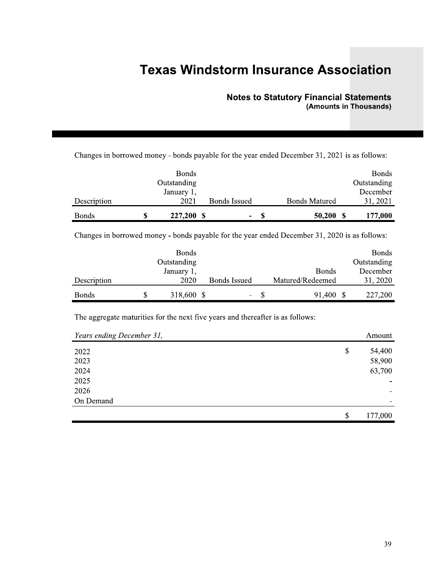### **Notes to Statutory Financial Statements** (Amounts in Thousands)

Changes in borrowed money - bonds payable for the year ended December 31, 2021 is as follows:

|              | <b>Bonds</b> |                     |   |                      | <b>Bonds</b> |
|--------------|--------------|---------------------|---|----------------------|--------------|
|              | Outstanding  |                     |   |                      | Outstanding  |
|              | January 1,   |                     |   |                      | December     |
| Description  | 2021         | <b>Bonds Issued</b> |   | <b>Bonds Matured</b> | 31, 2021     |
| <b>Bonds</b> | 227,200      | ۰                   | S | 50,200               | 177,000      |

Changes in borrowed money - bonds payable for the year ended December 31, 2020 is as follows:

|              | <b>Bonds</b> |                     |     |                  | <b>Bonds</b> |
|--------------|--------------|---------------------|-----|------------------|--------------|
|              | Outstanding  |                     |     |                  | Outstanding  |
|              | January 1,   |                     |     | <b>Bonds</b>     | December     |
| Description  | 2020         | <b>Bonds Issued</b> |     | Matured/Redeemed | 31, 2020     |
| <b>Bonds</b> | 318,600 \$   | -                   | \$. | 91,400           | 227,200      |

The aggregate maturities for the next five years and thereafter is as follows:

| Years ending December 31, | Amount        |
|---------------------------|---------------|
| 2022                      | \$<br>54,400  |
| 2023                      | 58,900        |
| 2024                      | 63,700        |
| 2025                      |               |
| 2026                      |               |
| On Demand                 |               |
|                           | \$<br>177,000 |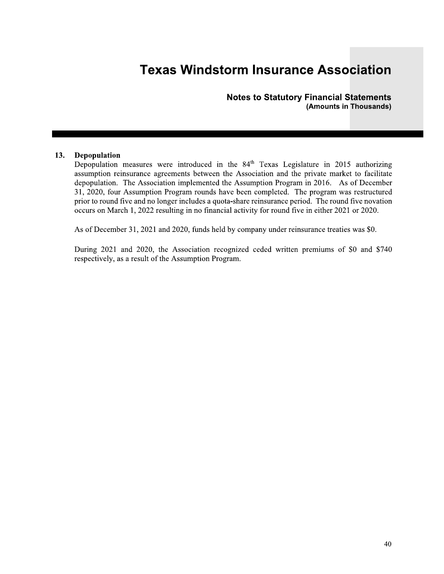**Notes to Statutory Financial Statements** (Amounts in Thousands)

#### 13. Depopulation

Depopulation measures were introduced in the 84<sup>th</sup> Texas Legislature in 2015 authorizing assumption reinsurance agreements between the Association and the private market to facilitate depopulation. The Association implemented the Assumption Program in 2016. As of December 31, 2020, four Assumption Program rounds have been completed. The program was restructured prior to round five and no longer includes a quota-share reinsurance period. The round five novation occurs on March 1, 2022 resulting in no financial activity for round five in either 2021 or 2020.

As of December 31, 2021 and 2020, funds held by company under reinsurance treaties was \$0.

During 2021 and 2020, the Association recognized ceded written premiums of \$0 and \$740 respectively, as a result of the Assumption Program.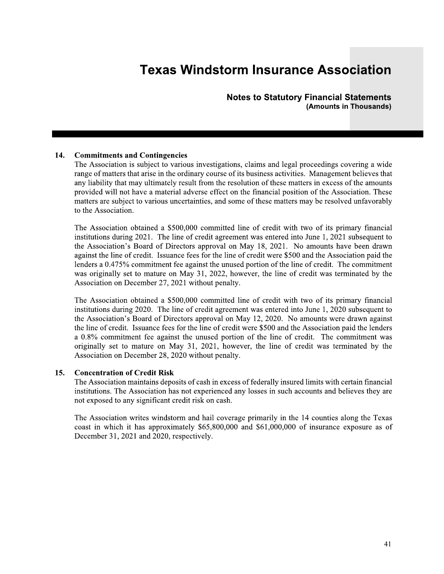Notes to Statutory Financial Statements (Amounts in Thousands)

**Notes to Statutory Financial Statements**<br>(Amounts in Thousands)<br>14. **Commitments and Contingencies**<br>The Association is subject to various investigations, claims and legal proceedings covering a wide<br>19. The Association is provided will not have a material adverse effect on the financial position of the Association. These matters are subject to various uncertainties, and some of these matters may be resolved unfavorably to the Association.

The Association obtained a \$500,000 committed line of credit with two of its primary financial institutions during 2021. The line of credit agreement was entered into June 1, 2021 subsequent to the Association's Board of Directors approval on May 18, 2021. No amounts have been drawn against the line of credit. Issuance fees for the line of credit were \$500 and the Association paid the lenders a 0.475% commitment fee against the unused portion of the line of credit. The commitment was originally set to mature on May 31, 2022, however, the line of credit was terminated by the Association on December 27, 2021 without penalty.

The Association obtained a \$500,000 committed line of credit with two of its primary financial institutions during 2020. The line of credit agreement was entered into June 1, 2020 subsequent to the Association's Board of Directors approval on May 12, 2020. No amounts were drawn against the line of credit. Issuance fees for the line of credit were \$500 and the Association paid the lenders a 0.8% commitment fee against the unused portion of the line of credit. The commitment was originally set to mature on May 31, 2021, however, the line of credit was terminated by the Association on December 28, 2020 without penalty. The Association obtained a \$500,000 committed line of credit with two of its primary financial<br>institutions during 2020. The line of credit agreement was entered into June 1, 2020 subsequent to<br>the Association's Board of

The Association writes windstorm and hail coverage primarily in the 14 counties along the Texas coast in which it has approximately  $$65,800,000$  and  $$61,000,000$  of insurance exposure as of December 31, 2021 and 2020, respectively.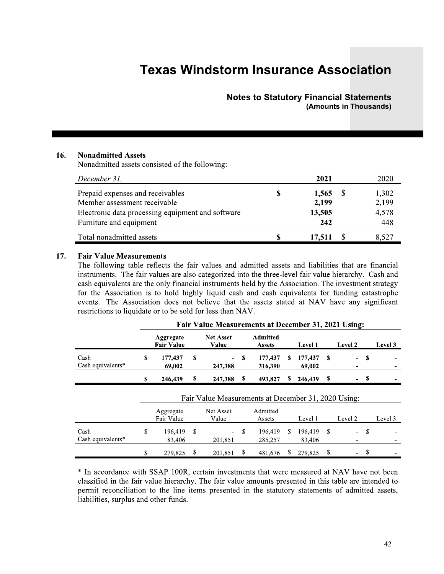### Notes to Statutory Financial Statements (Amounts in Thousands)

|     |                                                                                                                                                  | <b>Notes to Statutory Financial Statements</b> |                                      |   | (Amounts in Thousands)         |
|-----|--------------------------------------------------------------------------------------------------------------------------------------------------|------------------------------------------------|--------------------------------------|---|--------------------------------|
| 16. | <b>Nonadmitted Assets</b><br>Nonadmitted assets consisted of the following:                                                                      |                                                |                                      |   |                                |
|     | December 31,                                                                                                                                     |                                                | 2021                                 |   | 2020                           |
|     | Prepaid expenses and receivables<br>Member assessment receivable<br>Electronic data processing equipment and software<br>Furniture and equipment | \$                                             | $1,565$ \$<br>2,199<br>13,505<br>242 |   | 1,302<br>2,199<br>4,578<br>448 |
|     | Total nonadmitted assets                                                                                                                         | \$                                             | 17,511                               | P | 8,527                          |

#### 17.

|     | $De$ cember 91,                                                                                                                                                                                                                                                                                                                                                                                                                                                                                                                                                                                                       |    |                                |    |                                                     |    |                                  |              |                          |             |         |              |                                |
|-----|-----------------------------------------------------------------------------------------------------------------------------------------------------------------------------------------------------------------------------------------------------------------------------------------------------------------------------------------------------------------------------------------------------------------------------------------------------------------------------------------------------------------------------------------------------------------------------------------------------------------------|----|--------------------------------|----|-----------------------------------------------------|----|----------------------------------|--------------|--------------------------|-------------|---------|--------------|--------------------------------|
|     | Prepaid expenses and receivables<br>Member assessment receivable<br>Electronic data processing equipment and software<br>Furniture and equipment                                                                                                                                                                                                                                                                                                                                                                                                                                                                      |    |                                |    |                                                     |    | \$                               |              | 1,565<br>2,199<br>13,505 | 242         | \$      |              | 1,302<br>2,199<br>4,578<br>448 |
|     | Total nonadmitted assets                                                                                                                                                                                                                                                                                                                                                                                                                                                                                                                                                                                              |    |                                |    |                                                     |    | \$                               |              | 17,511                   |             | \$      |              | 8,527                          |
| 17. | <b>Fair Value Measurements</b><br>The following table reflects the fair values and admitted assets and liabilities that are financial<br>instruments. The fair values are also categorized into the three-level fair value hierarchy. Cash and<br>cash equivalents are the only financial instruments held by the Association. The investment strategy<br>for the Association is to hold highly liquid cash and cash equivalents for funding catastrophe<br>events. The Association does not believe that the assets stated at NAV have any significant<br>restrictions to liquidate or to be sold for less than NAV. |    |                                |    |                                                     |    |                                  |              |                          |             |         |              |                                |
|     |                                                                                                                                                                                                                                                                                                                                                                                                                                                                                                                                                                                                                       |    |                                |    |                                                     |    |                                  |              |                          |             |         |              |                                |
|     |                                                                                                                                                                                                                                                                                                                                                                                                                                                                                                                                                                                                                       |    |                                |    | Fair Value Measurements at December 31, 2021 Using: |    |                                  |              |                          |             |         |              |                                |
|     |                                                                                                                                                                                                                                                                                                                                                                                                                                                                                                                                                                                                                       |    | Aggregate<br><b>Fair Value</b> |    | <b>Net Asset</b><br>Value                           |    | <b>Admitted</b><br><b>Assets</b> |              | Level 1                  |             | Level 2 |              |                                |
|     | Cash<br>Cash equivalents*                                                                                                                                                                                                                                                                                                                                                                                                                                                                                                                                                                                             | \$ | 177,437<br>69,002              | \$ | 247,388                                             | S. | 177,437<br>316,390               | <sup>S</sup> | 177,437<br>69,002        | $\mathbf s$ |         | $\mathbf{s}$ |                                |
|     |                                                                                                                                                                                                                                                                                                                                                                                                                                                                                                                                                                                                                       | \$ | 246,439                        | \$ | 247,388                                             | -S | 493,827                          | S.           | $246,439$ \$             |             |         | - \$         |                                |
|     |                                                                                                                                                                                                                                                                                                                                                                                                                                                                                                                                                                                                                       |    |                                |    | Fair Value Measurements at December 31, 2020 Using: |    |                                  |              |                          |             |         |              |                                |
|     |                                                                                                                                                                                                                                                                                                                                                                                                                                                                                                                                                                                                                       |    | Aggregate<br>Fair Value        |    | Net Asset<br>Value                                  |    | Admitted<br>Assets               |              | Level 1                  |             | Level 2 |              |                                |
|     | Cash<br>Cash equivalents*                                                                                                                                                                                                                                                                                                                                                                                                                                                                                                                                                                                             | \$ | 196,419<br>83,406              | \$ | 201,851                                             | \$ | 196,419<br>285,257               | <sup>S</sup> | 196,419 \$<br>83,406     |             |         | -S           | Level 3<br>Level 3             |

 <sup>\*</sup> In accordance with SSAP 100R, certain investments that were measured at NAV have not been classified in the fair value hierarchy. The fair value amounts presented in this table are intended to permit reconciliation to the line items presented in the statutory statements of admitted assets, liabilities, surplus and other funds.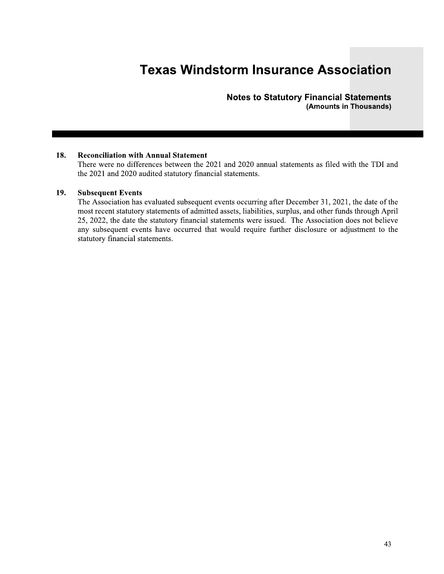Notes to Statutory Financial Statements (Amounts in Thousands)

#### 19. Subsequent Events

**Example 18 Axenution Statements**<br> **Examples 18.**<br> **Examples 18.**<br> **Examples 18.**<br> **Examples 18.**<br> **Examples 2021** and 2020 andited statutory financial statements.<br> **Examples 2021** and 2020 andited subsequent events occurr The Association has evaluated subsequent events occurring after December 31, 2021, the date of the most recent statutory statements of admitted assets, liabilities, surplus, and other funds through April 25, 2022, the date the statutory financial statements were issued. The Association does not believe any subsequent events have occurred that would require further disclosure or adjustment to the statutory financial statements.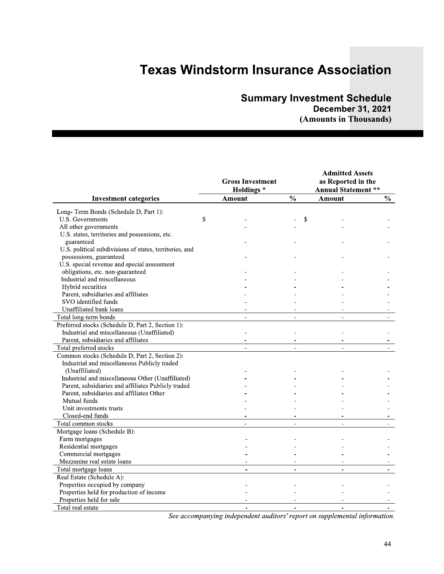### Summary Investment Schedule

|                                                                                                                                                                       | <b>Texas Windstorm Insurance Association</b> |                          | <b>Summary Investment Schedule</b><br><b>December 31, 2021</b><br>(Amounts in Thousands) |               |
|-----------------------------------------------------------------------------------------------------------------------------------------------------------------------|----------------------------------------------|--------------------------|------------------------------------------------------------------------------------------|---------------|
|                                                                                                                                                                       | <b>Gross Investment</b><br><b>Holdings*</b>  |                          | <b>Admitted Assets</b><br>as Reported in the<br><b>Annual Statement **</b>               |               |
| <b>Investment categories</b>                                                                                                                                          | Amount                                       | $\frac{0}{0}$            | <b>Amount</b>                                                                            | $\frac{0}{0}$ |
| Long-Term Bonds (Schedule D, Part 1):<br>U.S. Governments<br>\$<br>All other governments<br>U.S. states, territories and possessions, etc.                            |                                              | \$                       |                                                                                          |               |
| guaranteed<br>U.S. political subdivisions of states, territories, and<br>possessions, guaranteed<br>U.S. special revenue and special assessment                       |                                              |                          |                                                                                          |               |
| obligations, etc. non-guaranteed<br>Industrial and miscellaneous<br>Hybrid securities<br>Parent, subsidiaries and affiliates                                          |                                              |                          |                                                                                          |               |
| SVO identified funds<br>Unaffiliated bank loans<br>Total long-term bonds                                                                                              |                                              |                          |                                                                                          |               |
| Preferred stocks (Schedule D, Part 2, Section 1):<br>Industrial and miscellaneous (Unaffiliated)<br>Parent, subsidiaries and affiliates<br>Total preferred stocks     | $\overline{\phantom{a}}$                     |                          |                                                                                          |               |
| Common stocks (Schedule D, Part 2, Section 2):<br>Industrial and miscellaneous Publicly traded<br>(Unaffiliated)                                                      |                                              |                          |                                                                                          |               |
| Industrial and miscellaneous Other (Unaffiliated)<br>Parent, subsidiaries and affiliates Publicly traded<br>Parent, subsidiaries and affiliates Other<br>Mutual funds |                                              |                          |                                                                                          |               |
| Unit investments trusts<br>Closed-end funds<br>Total common stocks                                                                                                    |                                              |                          | $\blacksquare$                                                                           |               |
| Mortgage loans (Schedule B):<br>Farm mortgages<br>Residential mortgages<br>Commercial mortgages                                                                       |                                              |                          |                                                                                          |               |
| Mezzanine real estate loans<br>Total mortgage loans<br>Real Estate (Schedule A):                                                                                      |                                              |                          |                                                                                          |               |
| Properties occupied by company<br>Properties held for production of income<br>Properties held for sale                                                                |                                              |                          |                                                                                          |               |
| Total real estate                                                                                                                                                     | $\overline{a}$                               | $\overline{\phantom{a}}$ |                                                                                          |               |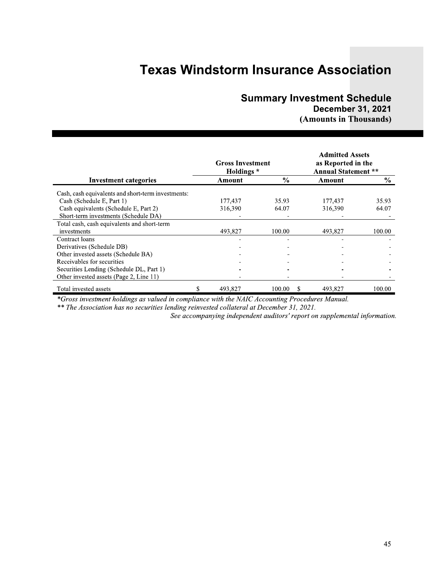### **Summary Investment Schedule**

### **December 31, 2021** (Amounts in Thousands)

|                                                    | <b>Gross Investment</b><br><b>Holdings</b> * |               | <b>Admitted Assets</b><br>as Reported in the<br><b>Annual Statement **</b> |        |  |
|----------------------------------------------------|----------------------------------------------|---------------|----------------------------------------------------------------------------|--------|--|
| <b>Investment categories</b>                       | Amount                                       | $\frac{6}{9}$ | Amount                                                                     | $\%$   |  |
| Cash, cash equivalents and short-term investments: |                                              |               |                                                                            |        |  |
| Cash (Schedule E, Part 1)                          | 177.437                                      | 35.93         | 177,437                                                                    | 35.93  |  |
| Cash equivalents (Schedule E, Part 2)              | 316,390                                      | 64.07         | 316.390                                                                    | 64.07  |  |
| Short-term investments (Schedule DA)               |                                              |               |                                                                            |        |  |
| Total cash, cash equivalents and short-term        |                                              |               |                                                                            |        |  |
| investments                                        | 493,827                                      | 100.00        | 493.827                                                                    | 100.00 |  |
| Contract loans                                     |                                              |               |                                                                            |        |  |
| Derivatives (Schedule DB)                          |                                              |               |                                                                            |        |  |
| Other invested assets (Schedule BA)                |                                              |               |                                                                            |        |  |
| Receivables for securities                         |                                              |               |                                                                            |        |  |
| Securities Lending (Schedule DL, Part 1)           |                                              |               |                                                                            |        |  |
| Other invested assets (Page 2, Line 11)            |                                              |               |                                                                            |        |  |
| Total invested assets                              | 493,827                                      | 100.00<br>-S  | 493,827                                                                    | 100.00 |  |

\*Gross investment holdings as valued in compliance with the NAIC Accounting Procedures Manual.

\*\* The Association has no securities lending reinvested collateral at December 31, 2021.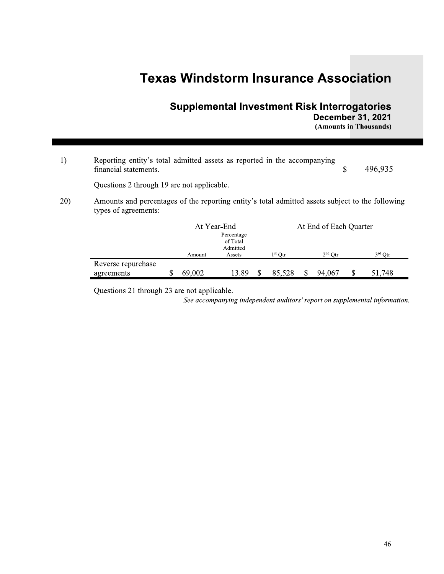### **Supplemental Investment Risk Interrogatories December 31, 2021**

(Amounts in Thousands)

Reporting entity's total admitted assets as reported in the accompanying  $1)$ financial statements.  $\mathbf S$ 496,935

Questions 2 through 19 are not applicable.

 $20)$ Amounts and percentages of the reporting entity's total admitted assets subject to the following types of agreements:

|                    |        | At Year-End                                  | At End of Each Quarter |  |           |  |           |  |  |  |
|--------------------|--------|----------------------------------------------|------------------------|--|-----------|--|-----------|--|--|--|
|                    | Amount | Percentage<br>of Total<br>Admitted<br>Assets | $1^{\rm st}$ Otr       |  | $2nd$ Otr |  | $3rd$ Otr |  |  |  |
| Reverse repurchase |        |                                              |                        |  |           |  |           |  |  |  |
| agreements         | 69,002 | 13.89                                        | 85,528                 |  | 94.067    |  | 51,748    |  |  |  |

Questions 21 through 23 are not applicable.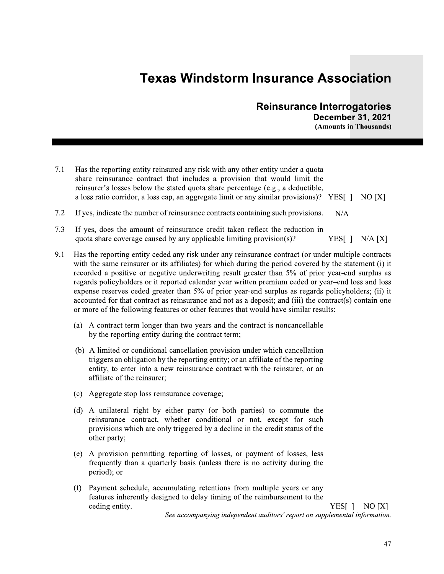### **Reinsurance Interrogatories December 31, 2021**

(Amounts in Thousands)

| 7.1 Has the reporting entity reinsured any risk with any other entity under a quota            |  |
|------------------------------------------------------------------------------------------------|--|
| share reinsurance contract that includes a provision that would limit the                      |  |
| reinsurer's losses below the stated quota share percentage (e.g., a deductible,                |  |
| a loss ratio corridor, a loss cap, an aggregate limit or any similar provisions)? YES[] NO [X] |  |
|                                                                                                |  |

- $7.2$ If yes, indicate the number of reinsurance contracts containing such provisions.  $N/A$
- $7.3$ If yes, does the amount of reinsurance credit taken reflect the reduction in quota share coverage caused by any applicable limiting provision(s)? YES[  $]$  N/A [X]
- 9.1 Has the reporting entity ceded any risk under any reinsurance contract (or under multiple contracts with the same reinsurer or its affiliates) for which during the period covered by the statement (i) it recorded a positive or negative underwriting result greater than 5% of prior year-end surplus as regards policyholders or it reported calendar year written premium ceded or year-end loss and loss expense reserves ceded greater than 5% of prior year-end surplus as regards policyholders; (ii) it accounted for that contract as reinsurance and not as a deposit; and (iii) the contract(s) contain one or more of the following features or other features that would have similar results:
	- (a) A contract term longer than two years and the contract is noncancellable by the reporting entity during the contract term;
	- (b) A limited or conditional cancellation provision under which cancellation triggers an obligation by the reporting entity; or an affiliate of the reporting entity, to enter into a new reinsurance contract with the reinsurer, or an affiliate of the reinsurer;
	- (c) Aggregate stop loss reinsurance coverage;
	- (d) A unilateral right by either party (or both parties) to commute the reinsurance contract, whether conditional or not, except for such provisions which are only triggered by a decline in the credit status of the other party;
	- (e) A provision permitting reporting of losses, or payment of losses, less frequently than a quarterly basis (unless there is no activity during the period); or
	- (f) Payment schedule, accumulating retentions from multiple years or any features inherently designed to delay timing of the reimbursement to the ceding entity.

YES[]  $NO[X]$